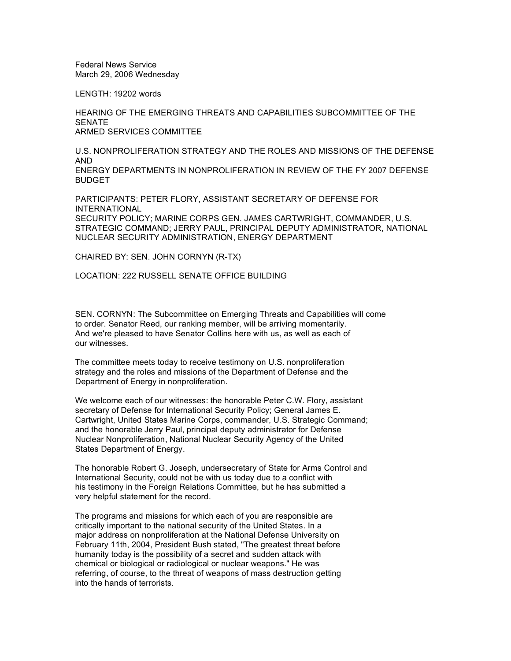Federal News Service March 29, 2006 Wednesday

LENGTH: 19202 words

HEARING OF THE EMERGING THREATS AND CAPABILITIES SUBCOMMITTEE OF THE **SENATE** ARMED SERVICES COMMITTEE

U.S. NONPROLIFERATION STRATEGY AND THE ROLES AND MISSIONS OF THE DEFENSE AND ENERGY DEPARTMENTS IN NONPROLIFERATION IN REVIEW OF THE FY 2007 DEFENSE BUDGET

PARTICIPANTS: PETER FLORY, ASSISTANT SECRETARY OF DEFENSE FOR INTERNATIONAL SECURITY POLICY; MARINE CORPS GEN. JAMES CARTWRIGHT, COMMANDER, U.S.

STRATEGIC COMMAND; JERRY PAUL, PRINCIPAL DEPUTY ADMINISTRATOR, NATIONAL NUCLEAR SECURITY ADMINISTRATION, ENERGY DEPARTMENT

CHAIRED BY: SEN. JOHN CORNYN (R-TX)

LOCATION: 222 RUSSELL SENATE OFFICE BUILDING

SEN. CORNYN: The Subcommittee on Emerging Threats and Capabilities will come to order. Senator Reed, our ranking member, will be arriving momentarily. And we're pleased to have Senator Collins here with us, as well as each of our witnesses.

The committee meets today to receive testimony on U.S. nonproliferation strategy and the roles and missions of the Department of Defense and the Department of Energy in nonproliferation.

We welcome each of our witnesses: the honorable Peter C.W. Flory, assistant secretary of Defense for International Security Policy; General James E. Cartwright, United States Marine Corps, commander, U.S. Strategic Command; and the honorable Jerry Paul, principal deputy administrator for Defense Nuclear Nonproliferation, National Nuclear Security Agency of the United States Department of Energy.

The honorable Robert G. Joseph, undersecretary of State for Arms Control and International Security, could not be with us today due to a conflict with his testimony in the Foreign Relations Committee, but he has submitted a very helpful statement for the record.

The programs and missions for which each of you are responsible are critically important to the national security of the United States. In a major address on nonproliferation at the National Defense University on February 11th, 2004, President Bush stated, "The greatest threat before humanity today is the possibility of a secret and sudden attack with chemical or biological or radiological or nuclear weapons." He was referring, of course, to the threat of weapons of mass destruction getting into the hands of terrorists.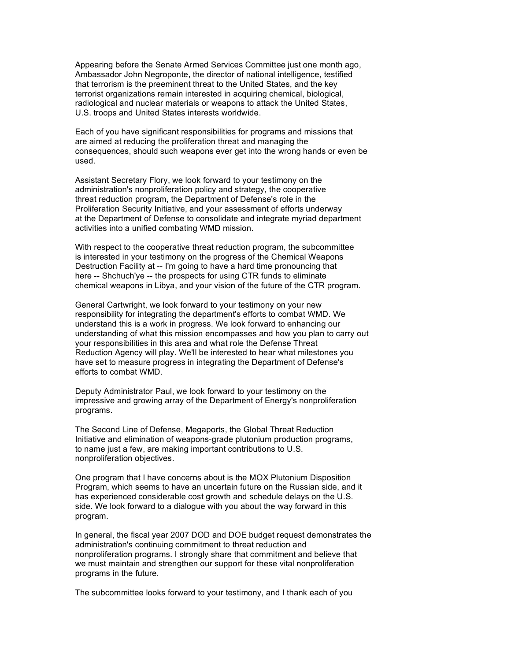Appearing before the Senate Armed Services Committee just one month ago, Ambassador John Negroponte, the director of national intelligence, testified that terrorism is the preeminent threat to the United States, and the key terrorist organizations remain interested in acquiring chemical, biological, radiological and nuclear materials or weapons to attack the United States, U.S. troops and United States interests worldwide.

Each of you have significant responsibilities for programs and missions that are aimed at reducing the proliferation threat and managing the consequences, should such weapons ever get into the wrong hands or even be used.

Assistant Secretary Flory, we look forward to your testimony on the administration's nonproliferation policy and strategy, the cooperative threat reduction program, the Department of Defense's role in the Proliferation Security Initiative, and your assessment of efforts underway at the Department of Defense to consolidate and integrate myriad department activities into a unified combating WMD mission.

With respect to the cooperative threat reduction program, the subcommittee is interested in your testimony on the progress of the Chemical Weapons Destruction Facility at -- I'm going to have a hard time pronouncing that here -- Shchuch'ye -- the prospects for using CTR funds to eliminate chemical weapons in Libya, and your vision of the future of the CTR program.

General Cartwright, we look forward to your testimony on your new responsibility for integrating the department's efforts to combat WMD. We understand this is a work in progress. We look forward to enhancing our understanding of what this mission encompasses and how you plan to carry out your responsibilities in this area and what role the Defense Threat Reduction Agency will play. We'll be interested to hear what milestones you have set to measure progress in integrating the Department of Defense's efforts to combat WMD.

Deputy Administrator Paul, we look forward to your testimony on the impressive and growing array of the Department of Energy's nonproliferation programs.

The Second Line of Defense, Megaports, the Global Threat Reduction Initiative and elimination of weapons-grade plutonium production programs, to name just a few, are making important contributions to U.S. nonproliferation objectives.

One program that I have concerns about is the MOX Plutonium Disposition Program, which seems to have an uncertain future on the Russian side, and it has experienced considerable cost growth and schedule delays on the U.S. side. We look forward to a dialogue with you about the way forward in this program.

In general, the fiscal year 2007 DOD and DOE budget request demonstrates the administration's continuing commitment to threat reduction and nonproliferation programs. I strongly share that commitment and believe that we must maintain and strengthen our support for these vital nonproliferation programs in the future.

The subcommittee looks forward to your testimony, and I thank each of you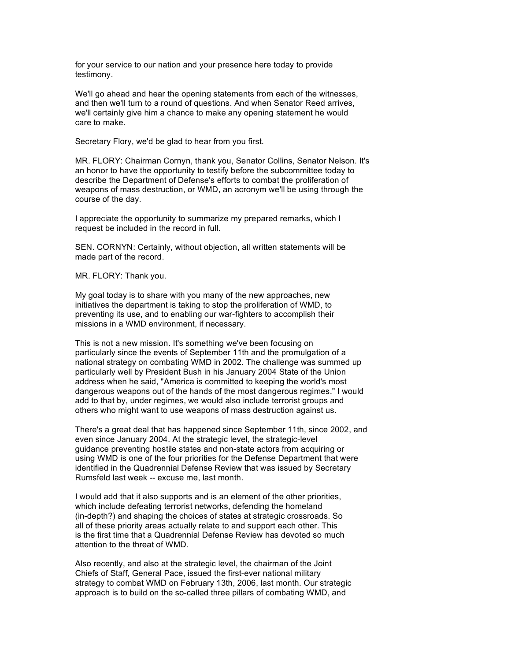for your service to our nation and your presence here today to provide testimony.

We'll go ahead and hear the opening statements from each of the witnesses, and then we'll turn to a round of questions. And when Senator Reed arrives, we'll certainly give him a chance to make any opening statement he would care to make.

Secretary Flory, we'd be glad to hear from you first.

MR. FLORY: Chairman Cornyn, thank you, Senator Collins, Senator Nelson. It's an honor to have the opportunity to testify before the subcommittee today to describe the Department of Defense's efforts to combat the proliferation of weapons of mass destruction, or WMD, an acronym we'll be using through the course of the day.

I appreciate the opportunity to summarize my prepared remarks, which I request be included in the record in full.

SEN. CORNYN: Certainly, without objection, all written statements will be made part of the record.

MR. FLORY: Thank you.

My goal today is to share with you many of the new approaches, new initiatives the department is taking to stop the proliferation of WMD, to preventing its use, and to enabling our war-fighters to accomplish their missions in a WMD environment, if necessary.

This is not a new mission. It's something we've been focusing on particularly since the events of September 11th and the promulgation of a national strategy on combating WMD in 2002. The challenge was summed up particularly well by President Bush in his January 2004 State of the Union address when he said, "America is committed to keeping the world's most dangerous weapons out of the hands of the most dangerous regimes." I would add to that by, under regimes, we would also include terrorist groups and others who might want to use weapons of mass destruction against us.

There's a great deal that has happened since September 11th, since 2002, and even since January 2004. At the strategic level, the strategic-level guidance preventing hostile states and non-state actors from acquiring or using WMD is one of the four priorities for the Defense Department that were identified in the Quadrennial Defense Review that was issued by Secretary Rumsfeld last week -- excuse me, last month.

I would add that it also supports and is an element of the other priorities, which include defeating terrorist networks, defending the homeland (in-depth?) and shaping the choices of states at strategic crossroads. So all of these priority areas actually relate to and support each other. This is the first time that a Quadrennial Defense Review has devoted so much attention to the threat of WMD.

Also recently, and also at the strategic level, the chairman of the Joint Chiefs of Staff, General Pace, issued the first-ever national military strategy to combat WMD on February 13th, 2006, last month. Our strategic approach is to build on the so-called three pillars of combating WMD, and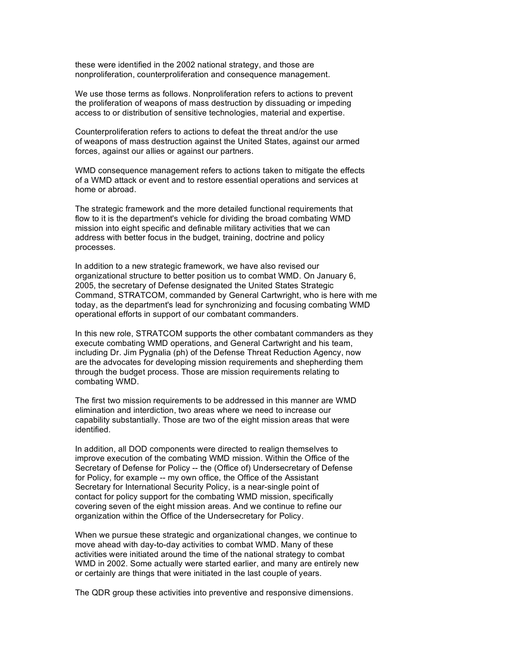these were identified in the 2002 national strategy, and those are nonproliferation, counterproliferation and consequence management.

We use those terms as follows. Nonproliferation refers to actions to prevent the proliferation of weapons of mass destruction by dissuading or impeding access to or distribution of sensitive technologies, material and expertise.

Counterproliferation refers to actions to defeat the threat and/or the use of weapons of mass destruction against the United States, against our armed forces, against our allies or against our partners.

WMD consequence management refers to actions taken to mitigate the effects of a WMD attack or event and to restore essential operations and services at home or abroad.

The strategic framework and the more detailed functional requirements that flow to it is the department's vehicle for dividing the broad combating WMD mission into eight specific and definable military activities that we can address with better focus in the budget, training, doctrine and policy processes.

In addition to a new strategic framework, we have also revised our organizational structure to better position us to combat WMD. On January 6, 2005, the secretary of Defense designated the United States Strategic Command, STRATCOM, commanded by General Cartwright, who is here with me today, as the department's lead for synchronizing and focusing combating WMD operational efforts in support of our combatant commanders.

In this new role, STRATCOM supports the other combatant commanders as they execute combating WMD operations, and General Cartwright and his team, including Dr. Jim Pygnalia (ph) of the Defense Threat Reduction Agency, now are the advocates for developing mission requirements and shepherding them through the budget process. Those are mission requirements relating to combating WMD.

The first two mission requirements to be addressed in this manner are WMD elimination and interdiction, two areas where we need to increase our capability substantially. Those are two of the eight mission areas that were identified.

In addition, all DOD components were directed to realign themselves to improve execution of the combating WMD mission. Within the Office of the Secretary of Defense for Policy -- the (Office of) Undersecretary of Defense for Policy, for example -- my own office, the Office of the Assistant Secretary for International Security Policy, is a near-single point of contact for policy support for the combating WMD mission, specifically covering seven of the eight mission areas. And we continue to refine our organization within the Office of the Undersecretary for Policy.

When we pursue these strategic and organizational changes, we continue to move ahead with day-to-day activities to combat WMD. Many of these activities were initiated around the time of the national strategy to combat WMD in 2002. Some actually were started earlier, and many are entirely new or certainly are things that were initiated in the last couple of years.

The QDR group these activities into preventive and responsive dimensions.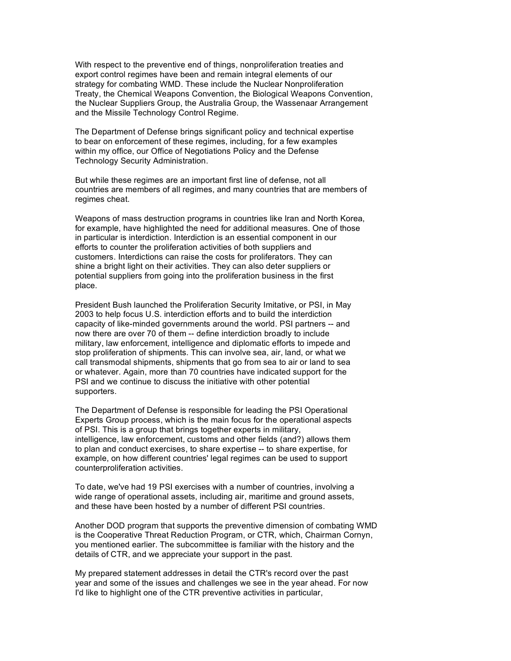With respect to the preventive end of things, nonproliferation treaties and export control regimes have been and remain integral elements of our strategy for combating WMD. These include the Nuclear Nonproliferation Treaty, the Chemical Weapons Convention, the Biological Weapons Convention, the Nuclear Suppliers Group, the Australia Group, the Wassenaar Arrangement and the Missile Technology Control Regime.

The Department of Defense brings significant policy and technical expertise to bear on enforcement of these regimes, including, for a few examples within my office, our Office of Negotiations Policy and the Defense Technology Security Administration.

But while these regimes are an important first line of defense, not all countries are members of all regimes, and many countries that are members of regimes cheat.

Weapons of mass destruction programs in countries like Iran and North Korea, for example, have highlighted the need for additional measures. One of those in particular is interdiction. Interdiction is an essential component in our efforts to counter the proliferation activities of both suppliers and customers. Interdictions can raise the costs for proliferators. They can shine a bright light on their activities. They can also deter suppliers or potential suppliers from going into the proliferation business in the first place.

President Bush launched the Proliferation Security Imitative, or PSI, in May 2003 to help focus U.S. interdiction efforts and to build the interdiction capacity of like-minded governments around the world. PSI partners -- and now there are over 70 of them -- define interdiction broadly to include military, law enforcement, intelligence and diplomatic efforts to impede and stop proliferation of shipments. This can involve sea, air, land, or what we call transmodal shipments, shipments that go from sea to air or land to sea or whatever. Again, more than 70 countries have indicated support for the PSI and we continue to discuss the initiative with other potential supporters.

The Department of Defense is responsible for leading the PSI Operational Experts Group process, which is the main focus for the operational aspects of PSI. This is a group that brings together experts in military, intelligence, law enforcement, customs and other fields (and?) allows them to plan and conduct exercises, to share expertise -- to share expertise, for example, on how different countries' legal regimes can be used to support counterproliferation activities.

To date, we've had 19 PSI exercises with a number of countries, involving a wide range of operational assets, including air, maritime and ground assets, and these have been hosted by a number of different PSI countries.

Another DOD program that supports the preventive dimension of combating WMD is the Cooperative Threat Reduction Program, or CTR, which, Chairman Cornyn, you mentioned earlier. The subcommittee is familiar with the history and the details of CTR, and we appreciate your support in the past.

My prepared statement addresses in detail the CTR's record over the past year and some of the issues and challenges we see in the year ahead. For now I'd like to highlight one of the CTR preventive activities in particular,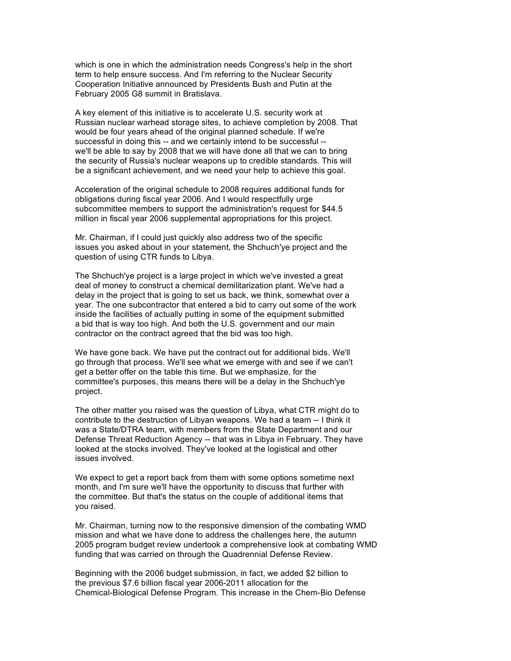which is one in which the administration needs Congress's help in the short term to help ensure success. And I'm referring to the Nuclear Security Cooperation Initiative announced by Presidents Bush and Putin at the February 2005 G8 summit in Bratislava.

A key element of this initiative is to accelerate U.S. security work at Russian nuclear warhead storage sites, to achieve completion by 2008. That would be four years ahead of the original planned schedule. If we're successful in doing this -- and we certainly intend to be successful - we'll be able to say by 2008 that we will have done all that we can to bring the security of Russia's nuclear weapons up to credible standards. This will be a significant achievement, and we need your help to achieve this goal.

Acceleration of the original schedule to 2008 requires additional funds for obligations during fiscal year 2006. And I would respectfully urge subcommittee members to support the administration's request for \$44.5 million in fiscal year 2006 supplemental appropriations for this project.

Mr. Chairman, if I could just quickly also address two of the specific issues you asked about in your statement, the Shchuch'ye project and the question of using CTR funds to Libya.

The Shchuch'ye project is a large project in which we've invested a great deal of money to construct a chemical demilitarization plant. We've had a delay in the project that is going to set us back, we think, somewhat over a year. The one subcontractor that entered a bid to carry out some of the work inside the facilities of actually putting in some of the equipment submitted a bid that is way too high. And both the U.S. government and our main contractor on the contract agreed that the bid was too high.

We have gone back. We have put the contract out for additional bids. We'll go through that process. We'll see what we emerge with and see if we can't get a better offer on the table this time. But we emphasize, for the committee's purposes, this means there will be a delay in the Shchuch'ye project.

The other matter you raised was the question of Libya, what CTR might do to contribute to the destruction of Libyan weapons. We had a team -- I think it was a State/DTRA team, with members from the State Department and our Defense Threat Reduction Agency -- that was in Libya in February. They have looked at the stocks involved. They've looked at the logistical and other issues involved.

We expect to get a report back from them with some options sometime next month, and I'm sure we'll have the opportunity to discuss that further with the committee. But that's the status on the couple of additional items that you raised.

Mr. Chairman, turning now to the responsive dimension of the combating WMD mission and what we have done to address the challenges here, the autumn 2005 program budget review undertook a comprehensive look at combating WMD funding that was carried on through the Quadrennial Defense Review.

Beginning with the 2006 budget submission, in fact, we added \$2 billion to the previous \$7.6 billion fiscal year 2006-2011 allocation for the Chemical-Biological Defense Program. This increase in the Chem-Bio Defense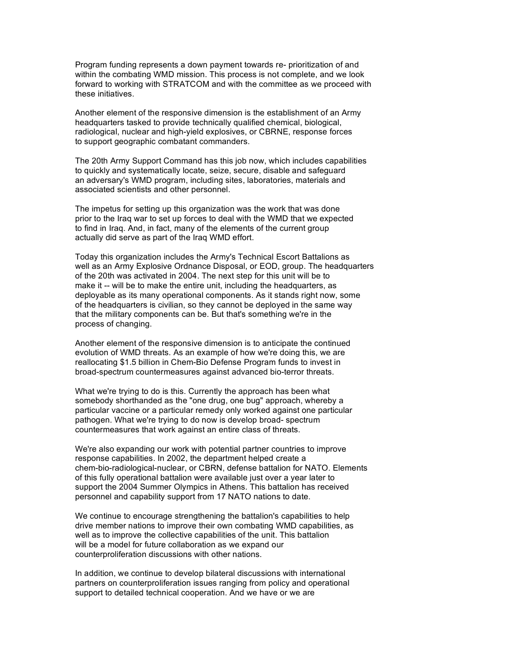Program funding represents a down payment towards re- prioritization of and within the combating WMD mission. This process is not complete, and we look forward to working with STRATCOM and with the committee as we proceed with these initiatives.

Another element of the responsive dimension is the establishment of an Army headquarters tasked to provide technically qualified chemical, biological, radiological, nuclear and high-yield explosives, or CBRNE, response forces to support geographic combatant commanders.

The 20th Army Support Command has this job now, which includes capabilities to quickly and systematically locate, seize, secure, disable and safeguard an adversary's WMD program, including sites, laboratories, materials and associated scientists and other personnel.

The impetus for setting up this organization was the work that was done prior to the Iraq war to set up forces to deal with the WMD that we expected to find in Iraq. And, in fact, many of the elements of the current group actually did serve as part of the Iraq WMD effort.

Today this organization includes the Army's Technical Escort Battalions as well as an Army Explosive Ordnance Disposal, or EOD, group. The headquarters of the 20th was activated in 2004. The next step for this unit will be to make it -- will be to make the entire unit, including the headquarters, as deployable as its many operational components. As it stands right now, some of the headquarters is civilian, so they cannot be deployed in the same way that the military components can be. But that's something we're in the process of changing.

Another element of the responsive dimension is to anticipate the continued evolution of WMD threats. As an example of how we're doing this, we are reallocating \$1.5 billion in Chem-Bio Defense Program funds to invest in broad-spectrum countermeasures against advanced bio-terror threats.

What we're trying to do is this. Currently the approach has been what somebody shorthanded as the "one drug, one bug" approach, whereby a particular vaccine or a particular remedy only worked against one particular pathogen. What we're trying to do now is develop broad- spectrum countermeasures that work against an entire class of threats.

We're also expanding our work with potential partner countries to improve response capabilities. In 2002, the department helped create a chem-bio-radiological-nuclear, or CBRN, defense battalion for NATO. Elements of this fully operational battalion were available just over a year later to support the 2004 Summer Olympics in Athens. This battalion has received personnel and capability support from 17 NATO nations to date.

We continue to encourage strengthening the battalion's capabilities to help drive member nations to improve their own combating WMD capabilities, as well as to improve the collective capabilities of the unit. This battalion will be a model for future collaboration as we expand our counterproliferation discussions with other nations.

In addition, we continue to develop bilateral discussions with international partners on counterproliferation issues ranging from policy and operational support to detailed technical cooperation. And we have or we are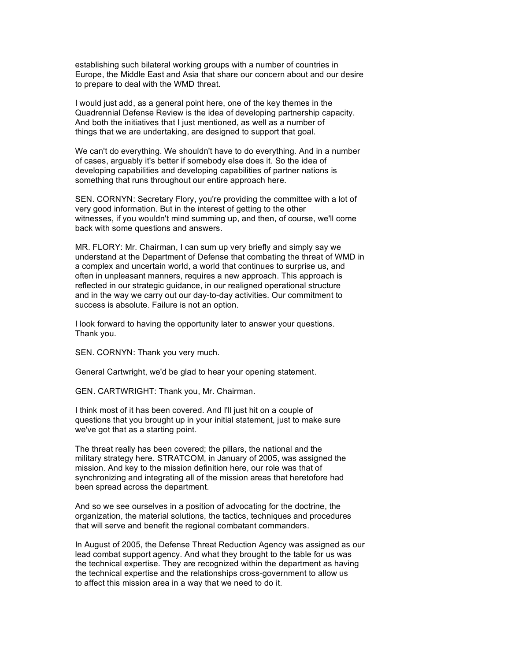establishing such bilateral working groups with a number of countries in Europe, the Middle East and Asia that share our concern about and our desire to prepare to deal with the WMD threat.

I would just add, as a general point here, one of the key themes in the Quadrennial Defense Review is the idea of developing partnership capacity. And both the initiatives that I just mentioned, as well as a number of things that we are undertaking, are designed to support that goal.

We can't do everything. We shouldn't have to do everything. And in a number of cases, arguably it's better if somebody else does it. So the idea of developing capabilities and developing capabilities of partner nations is something that runs throughout our entire approach here.

SEN. CORNYN: Secretary Flory, you're providing the committee with a lot of very good information. But in the interest of getting to the other witnesses, if you wouldn't mind summing up, and then, of course, we'll come back with some questions and answers.

MR. FLORY: Mr. Chairman, I can sum up very briefly and simply say we understand at the Department of Defense that combating the threat of WMD in a complex and uncertain world, a world that continues to surprise us, and often in unpleasant manners, requires a new approach. This approach is reflected in our strategic guidance, in our realigned operational structure and in the way we carry out our day-to-day activities. Our commitment to success is absolute. Failure is not an option.

I look forward to having the opportunity later to answer your questions. Thank you.

SEN. CORNYN: Thank you very much.

General Cartwright, we'd be glad to hear your opening statement.

GEN. CARTWRIGHT: Thank you, Mr. Chairman.

I think most of it has been covered. And I'll just hit on a couple of questions that you brought up in your initial statement, just to make sure we've got that as a starting point.

The threat really has been covered; the pillars, the national and the military strategy here. STRATCOM, in January of 2005, was assigned the mission. And key to the mission definition here, our role was that of synchronizing and integrating all of the mission areas that heretofore had been spread across the department.

And so we see ourselves in a position of advocating for the doctrine, the organization, the material solutions, the tactics, techniques and procedures that will serve and benefit the regional combatant commanders.

In August of 2005, the Defense Threat Reduction Agency was assigned as our lead combat support agency. And what they brought to the table for us was the technical expertise. They are recognized within the department as having the technical expertise and the relationships cross-government to allow us to affect this mission area in a way that we need to do it.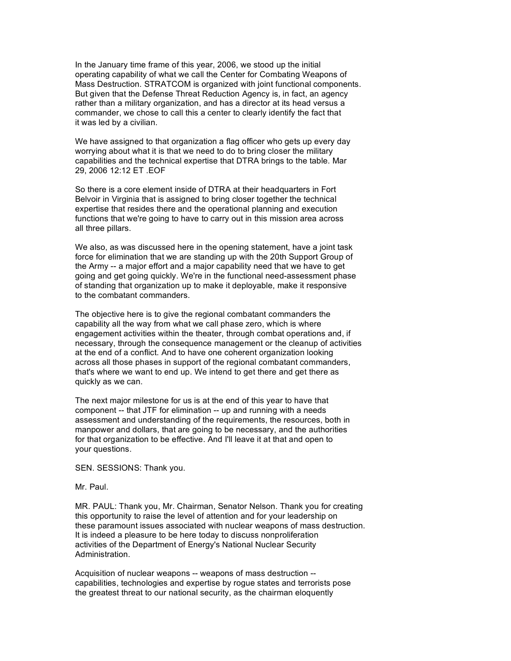In the January time frame of this year, 2006, we stood up the initial operating capability of what we call the Center for Combating Weapons of Mass Destruction. STRATCOM is organized with joint functional components. But given that the Defense Threat Reduction Agency is, in fact, an agency rather than a military organization, and has a director at its head versus a commander, we chose to call this a center to clearly identify the fact that it was led by a civilian.

We have assigned to that organization a flag officer who gets up every day worrying about what it is that we need to do to bring closer the military capabilities and the technical expertise that DTRA brings to the table. Mar 29, 2006 12:12 ET .EOF

So there is a core element inside of DTRA at their headquarters in Fort Belvoir in Virginia that is assigned to bring closer together the technical expertise that resides there and the operational planning and execution functions that we're going to have to carry out in this mission area across all three pillars.

We also, as was discussed here in the opening statement, have a joint task force for elimination that we are standing up with the 20th Support Group of the Army -- a major effort and a major capability need that we have to get going and get going quickly. We're in the functional need-assessment phase of standing that organization up to make it deployable, make it responsive to the combatant commanders.

The objective here is to give the regional combatant commanders the capability all the way from what we call phase zero, which is where engagement activities within the theater, through combat operations and, if necessary, through the consequence management or the cleanup of activities at the end of a conflict. And to have one coherent organization looking across all those phases in support of the regional combatant commanders, that's where we want to end up. We intend to get there and get there as quickly as we can.

The next major milestone for us is at the end of this year to have that component -- that JTF for elimination -- up and running with a needs assessment and understanding of the requirements, the resources, both in manpower and dollars, that are going to be necessary, and the authorities for that organization to be effective. And I'll leave it at that and open to your questions.

SEN. SESSIONS: Thank you.

Mr. Paul.

MR. PAUL: Thank you, Mr. Chairman, Senator Nelson. Thank you for creating this opportunity to raise the level of attention and for your leadership on these paramount issues associated with nuclear weapons of mass destruction. It is indeed a pleasure to be here today to discuss nonproliferation activities of the Department of Energy's National Nuclear Security Administration.

Acquisition of nuclear weapons -- weapons of mass destruction - capabilities, technologies and expertise by rogue states and terrorists pose the greatest threat to our national security, as the chairman eloquently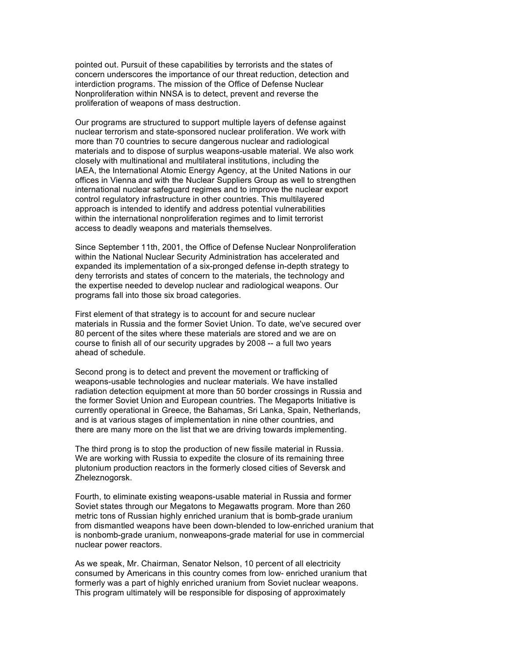pointed out. Pursuit of these capabilities by terrorists and the states of concern underscores the importance of our threat reduction, detection and interdiction programs. The mission of the Office of Defense Nuclear Nonproliferation within NNSA is to detect, prevent and reverse the proliferation of weapons of mass destruction.

Our programs are structured to support multiple layers of defense against nuclear terrorism and state-sponsored nuclear proliferation. We work with more than 70 countries to secure dangerous nuclear and radiological materials and to dispose of surplus weapons-usable material. We also work closely with multinational and multilateral institutions, including the IAEA, the International Atomic Energy Agency, at the United Nations in our offices in Vienna and with the Nuclear Suppliers Group as well to strengthen international nuclear safeguard regimes and to improve the nuclear export control regulatory infrastructure in other countries. This multilayered approach is intended to identify and address potential vulnerabilities within the international nonproliferation regimes and to limit terrorist access to deadly weapons and materials themselves.

Since September 11th, 2001, the Office of Defense Nuclear Nonproliferation within the National Nuclear Security Administration has accelerated and expanded its implementation of a six-pronged defense in-depth strategy to deny terrorists and states of concern to the materials, the technology and the expertise needed to develop nuclear and radiological weapons. Our programs fall into those six broad categories.

First element of that strategy is to account for and secure nuclear materials in Russia and the former Soviet Union. To date, we've secured over 80 percent of the sites where these materials are stored and we are on course to finish all of our security upgrades by 2008 -- a full two years ahead of schedule.

Second prong is to detect and prevent the movement or trafficking of weapons-usable technologies and nuclear materials. We have installed radiation detection equipment at more than 50 border crossings in Russia and the former Soviet Union and European countries. The Megaports Initiative is currently operational in Greece, the Bahamas, Sri Lanka, Spain, Netherlands, and is at various stages of implementation in nine other countries, and there are many more on the list that we are driving towards implementing.

The third prong is to stop the production of new fissile material in Russia. We are working with Russia to expedite the closure of its remaining three plutonium production reactors in the formerly closed cities of Seversk and Zheleznogorsk.

Fourth, to eliminate existing weapons-usable material in Russia and former Soviet states through our Megatons to Megawatts program. More than 260 metric tons of Russian highly enriched uranium that is bomb-grade uranium from dismantled weapons have been down-blended to low-enriched uranium that is nonbomb-grade uranium, nonweapons-grade material for use in commercial nuclear power reactors.

As we speak, Mr. Chairman, Senator Nelson, 10 percent of all electricity consumed by Americans in this country comes from low- enriched uranium that formerly was a part of highly enriched uranium from Soviet nuclear weapons. This program ultimately will be responsible for disposing of approximately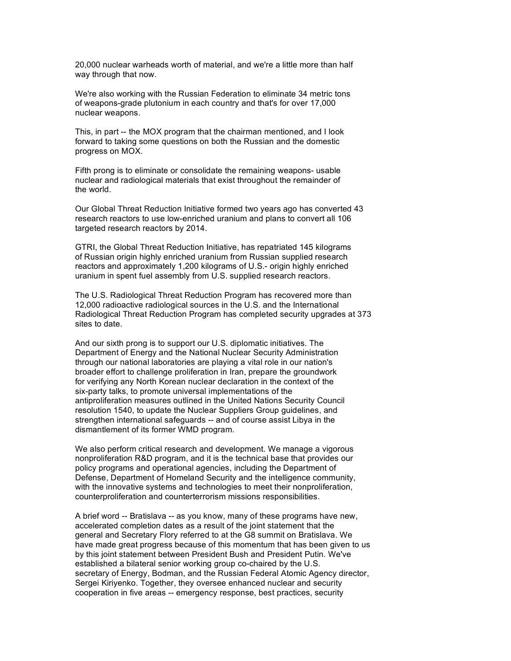20,000 nuclear warheads worth of material, and we're a little more than half way through that now.

We're also working with the Russian Federation to eliminate 34 metric tons of weapons-grade plutonium in each country and that's for over 17,000 nuclear weapons.

This, in part -- the MOX program that the chairman mentioned, and I look forward to taking some questions on both the Russian and the domestic progress on MOX.

Fifth prong is to eliminate or consolidate the remaining weapons- usable nuclear and radiological materials that exist throughout the remainder of the world.

Our Global Threat Reduction Initiative formed two years ago has converted 43 research reactors to use low-enriched uranium and plans to convert all 106 targeted research reactors by 2014.

GTRI, the Global Threat Reduction Initiative, has repatriated 145 kilograms of Russian origin highly enriched uranium from Russian supplied research reactors and approximately 1,200 kilograms of U.S.- origin highly enriched uranium in spent fuel assembly from U.S. supplied research reactors.

The U.S. Radiological Threat Reduction Program has recovered more than 12,000 radioactive radiological sources in the U.S. and the International Radiological Threat Reduction Program has completed security upgrades at 373 sites to date.

And our sixth prong is to support our U.S. diplomatic initiatives. The Department of Energy and the National Nuclear Security Administration through our national laboratories are playing a vital role in our nation's broader effort to challenge proliferation in Iran, prepare the groundwork for verifying any North Korean nuclear declaration in the context of the six-party talks, to promote universal implementations of the antiproliferation measures outlined in the United Nations Security Council resolution 1540, to update the Nuclear Suppliers Group guidelines, and strengthen international safeguards -- and of course assist Libya in the dismantlement of its former WMD program.

We also perform critical research and development. We manage a vigorous nonproliferation R&D program, and it is the technical base that provides our policy programs and operational agencies, including the Department of Defense, Department of Homeland Security and the intelligence community, with the innovative systems and technologies to meet their nonproliferation, counterproliferation and counterterrorism missions responsibilities.

A brief word -- Bratislava -- as you know, many of these programs have new, accelerated completion dates as a result of the joint statement that the general and Secretary Flory referred to at the G8 summit on Bratislava. We have made great progress because of this momentum that has been given to us by this joint statement between President Bush and President Putin. We've established a bilateral senior working group co-chaired by the U.S. secretary of Energy, Bodman, and the Russian Federal Atomic Agency director, Sergei Kiriyenko. Together, they oversee enhanced nuclear and security cooperation in five areas -- emergency response, best practices, security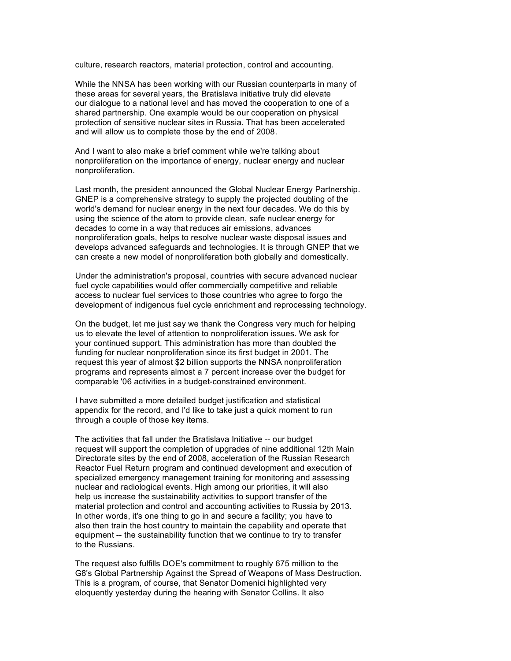culture, research reactors, material protection, control and accounting.

While the NNSA has been working with our Russian counterparts in many of these areas for several years, the Bratislava initiative truly did elevate our dialogue to a national level and has moved the cooperation to one of a shared partnership. One example would be our cooperation on physical protection of sensitive nuclear sites in Russia. That has been accelerated and will allow us to complete those by the end of 2008.

And I want to also make a brief comment while we're talking about nonproliferation on the importance of energy, nuclear energy and nuclear nonproliferation.

Last month, the president announced the Global Nuclear Energy Partnership. GNEP is a comprehensive strategy to supply the projected doubling of the world's demand for nuclear energy in the next four decades. We do this by using the science of the atom to provide clean, safe nuclear energy for decades to come in a way that reduces air emissions, advances nonproliferation goals, helps to resolve nuclear waste disposal issues and develops advanced safeguards and technologies. It is through GNEP that we can create a new model of nonproliferation both globally and domestically.

Under the administration's proposal, countries with secure advanced nuclear fuel cycle capabilities would offer commercially competitive and reliable access to nuclear fuel services to those countries who agree to forgo the development of indigenous fuel cycle enrichment and reprocessing technology.

On the budget, let me just say we thank the Congress very much for helping us to elevate the level of attention to nonproliferation issues. We ask for your continued support. This administration has more than doubled the funding for nuclear nonproliferation since its first budget in 2001. The request this year of almost \$2 billion supports the NNSA nonproliferation programs and represents almost a 7 percent increase over the budget for comparable '06 activities in a budget-constrained environment.

I have submitted a more detailed budget justification and statistical appendix for the record, and I'd like to take just a quick moment to run through a couple of those key items.

The activities that fall under the Bratislava Initiative -- our budget request will support the completion of upgrades of nine additional 12th Main Directorate sites by the end of 2008, acceleration of the Russian Research Reactor Fuel Return program and continued development and execution of specialized emergency management training for monitoring and assessing nuclear and radiological events. High among our priorities, it will also help us increase the sustainability activities to support transfer of the material protection and control and accounting activities to Russia by 2013. In other words, it's one thing to go in and secure a facility; you have to also then train the host country to maintain the capability and operate that equipment -- the sustainability function that we continue to try to transfer to the Russians.

The request also fulfills DOE's commitment to roughly 675 million to the G8's Global Partnership Against the Spread of Weapons of Mass Destruction. This is a program, of course, that Senator Domenici highlighted very eloquently yesterday during the hearing with Senator Collins. It also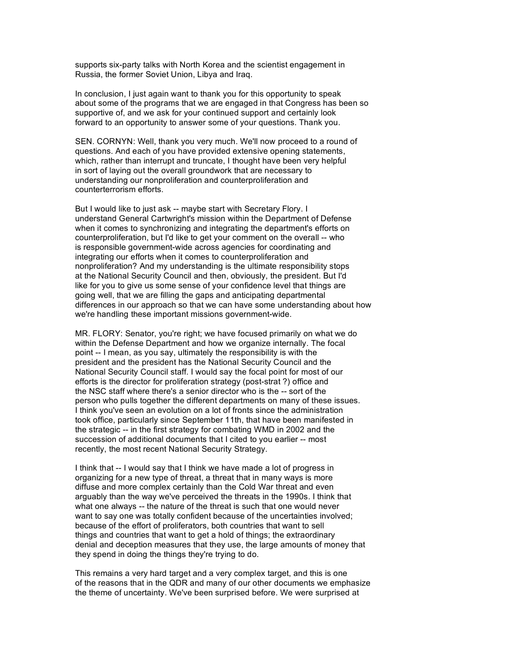supports six-party talks with North Korea and the scientist engagement in Russia, the former Soviet Union, Libya and Iraq.

In conclusion, I just again want to thank you for this opportunity to speak about some of the programs that we are engaged in that Congress has been so supportive of, and we ask for your continued support and certainly look forward to an opportunity to answer some of your questions. Thank you.

SEN. CORNYN: Well, thank you very much. We'll now proceed to a round of questions. And each of you have provided extensive opening statements, which, rather than interrupt and truncate, I thought have been very helpful in sort of laying out the overall groundwork that are necessary to understanding our nonproliferation and counterproliferation and counterterrorism efforts.

But I would like to just ask -- maybe start with Secretary Flory. I understand General Cartwright's mission within the Department of Defense when it comes to synchronizing and integrating the department's efforts on counterproliferation, but I'd like to get your comment on the overall -- who is responsible government-wide across agencies for coordinating and integrating our efforts when it comes to counterproliferation and nonproliferation? And my understanding is the ultimate responsibility stops at the National Security Council and then, obviously, the president. But I'd like for you to give us some sense of your confidence level that things are going well, that we are filling the gaps and anticipating departmental differences in our approach so that we can have some understanding about how we're handling these important missions government-wide.

MR. FLORY: Senator, you're right; we have focused primarily on what we do within the Defense Department and how we organize internally. The focal point -- I mean, as you say, ultimately the responsibility is with the president and the president has the National Security Council and the National Security Council staff. I would say the focal point for most of our efforts is the director for proliferation strategy (post-strat ?) office and the NSC staff where there's a senior director who is the -- sort of the person who pulls together the different departments on many of these issues. I think you've seen an evolution on a lot of fronts since the administration took office, particularly since September 11th, that have been manifested in the strategic -- in the first strategy for combating WMD in 2002 and the succession of additional documents that I cited to you earlier -- most recently, the most recent National Security Strategy.

I think that -- I would say that I think we have made a lot of progress in organizing for a new type of threat, a threat that in many ways is more diffuse and more complex certainly than the Cold War threat and even arguably than the way we've perceived the threats in the 1990s. I think that what one always -- the nature of the threat is such that one would never want to say one was totally confident because of the uncertainties involved; because of the effort of proliferators, both countries that want to sell things and countries that want to get a hold of things; the extraordinary denial and deception measures that they use, the large amounts of money that they spend in doing the things they're trying to do.

This remains a very hard target and a very complex target, and this is one of the reasons that in the QDR and many of our other documents we emphasize the theme of uncertainty. We've been surprised before. We were surprised at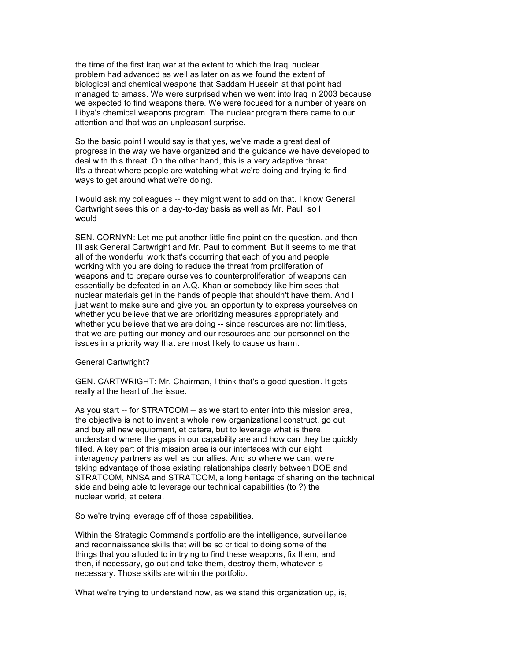the time of the first Iraq war at the extent to which the Iraqi nuclear problem had advanced as well as later on as we found the extent of biological and chemical weapons that Saddam Hussein at that point had managed to amass. We were surprised when we went into Iraq in 2003 because we expected to find weapons there. We were focused for a number of years on Libya's chemical weapons program. The nuclear program there came to our attention and that was an unpleasant surprise.

So the basic point I would say is that yes, we've made a great deal of progress in the way we have organized and the guidance we have developed to deal with this threat. On the other hand, this is a very adaptive threat. It's a threat where people are watching what we're doing and trying to find ways to get around what we're doing.

I would ask my colleagues -- they might want to add on that. I know General Cartwright sees this on a day-to-day basis as well as Mr. Paul, so I would --

SEN. CORNYN: Let me put another little fine point on the question, and then I'll ask General Cartwright and Mr. Paul to comment. But it seems to me that all of the wonderful work that's occurring that each of you and people working with you are doing to reduce the threat from proliferation of weapons and to prepare ourselves to counterproliferation of weapons can essentially be defeated in an A.Q. Khan or somebody like him sees that nuclear materials get in the hands of people that shouldn't have them. And I just want to make sure and give you an opportunity to express yourselves on whether you believe that we are prioritizing measures appropriately and whether you believe that we are doing -- since resources are not limitless, that we are putting our money and our resources and our personnel on the issues in a priority way that are most likely to cause us harm.

## General Cartwright?

GEN. CARTWRIGHT: Mr. Chairman, I think that's a good question. It gets really at the heart of the issue.

As you start -- for STRATCOM -- as we start to enter into this mission area, the objective is not to invent a whole new organizational construct, go out and buy all new equipment, et cetera, but to leverage what is there, understand where the gaps in our capability are and how can they be quickly filled. A key part of this mission area is our interfaces with our eight interagency partners as well as our allies. And so where we can, we're taking advantage of those existing relationships clearly between DOE and STRATCOM, NNSA and STRATCOM, a long heritage of sharing on the technical side and being able to leverage our technical capabilities (to ?) the nuclear world, et cetera.

So we're trying leverage off of those capabilities.

Within the Strategic Command's portfolio are the intelligence, surveillance and reconnaissance skills that will be so critical to doing some of the things that you alluded to in trying to find these weapons, fix them, and then, if necessary, go out and take them, destroy them, whatever is necessary. Those skills are within the portfolio.

What we're trying to understand now, as we stand this organization up, is,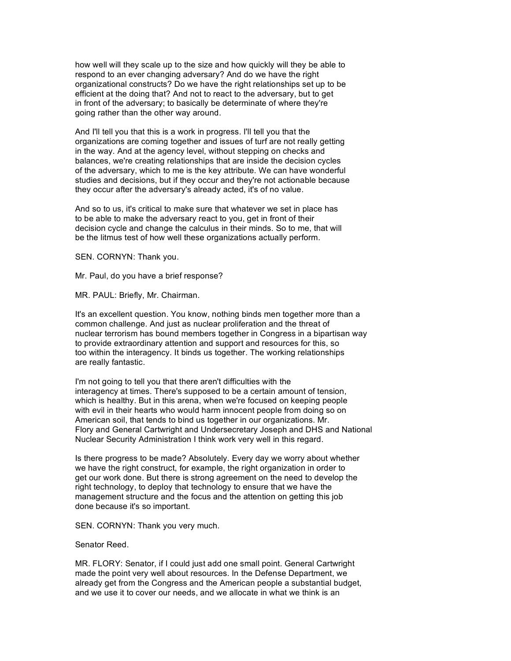how well will they scale up to the size and how quickly will they be able to respond to an ever changing adversary? And do we have the right organizational constructs? Do we have the right relationships set up to be efficient at the doing that? And not to react to the adversary, but to get in front of the adversary; to basically be determinate of where they're going rather than the other way around.

And I'll tell you that this is a work in progress. I'll tell you that the organizations are coming together and issues of turf are not really getting in the way. And at the agency level, without stepping on checks and balances, we're creating relationships that are inside the decision cycles of the adversary, which to me is the key attribute. We can have wonderful studies and decisions, but if they occur and they're not actionable because they occur after the adversary's already acted, it's of no value.

And so to us, it's critical to make sure that whatever we set in place has to be able to make the adversary react to you, get in front of their decision cycle and change the calculus in their minds. So to me, that will be the litmus test of how well these organizations actually perform.

SEN. CORNYN: Thank you.

Mr. Paul, do you have a brief response?

MR. PAUL: Briefly, Mr. Chairman.

It's an excellent question. You know, nothing binds men together more than a common challenge. And just as nuclear proliferation and the threat of nuclear terrorism has bound members together in Congress in a bipartisan way to provide extraordinary attention and support and resources for this, so too within the interagency. It binds us together. The working relationships are really fantastic.

I'm not going to tell you that there aren't difficulties with the interagency at times. There's supposed to be a certain amount of tension, which is healthy. But in this arena, when we're focused on keeping people with evil in their hearts who would harm innocent people from doing so on American soil, that tends to bind us together in our organizations. Mr. Flory and General Cartwright and Undersecretary Joseph and DHS and National Nuclear Security Administration I think work very well in this regard.

Is there progress to be made? Absolutely. Every day we worry about whether we have the right construct, for example, the right organization in order to get our work done. But there is strong agreement on the need to develop the right technology, to deploy that technology to ensure that we have the management structure and the focus and the attention on getting this job done because it's so important.

SEN. CORNYN: Thank you very much.

#### Senator Reed.

MR. FLORY: Senator, if I could just add one small point. General Cartwright made the point very well about resources. In the Defense Department, we already get from the Congress and the American people a substantial budget, and we use it to cover our needs, and we allocate in what we think is an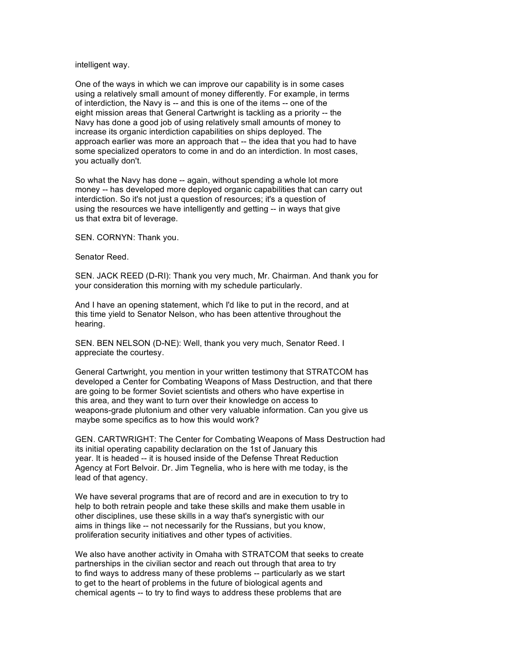intelligent way.

One of the ways in which we can improve our capability is in some cases using a relatively small amount of money differently. For example, in terms of interdiction, the Navy is -- and this is one of the items -- one of the eight mission areas that General Cartwright is tackling as a priority -- the Navy has done a good job of using relatively small amounts of money to increase its organic interdiction capabilities on ships deployed. The approach earlier was more an approach that -- the idea that you had to have some specialized operators to come in and do an interdiction. In most cases, you actually don't.

So what the Navy has done -- again, without spending a whole lot more money -- has developed more deployed organic capabilities that can carry out interdiction. So it's not just a question of resources; it's a question of using the resources we have intelligently and getting -- in ways that give us that extra bit of leverage.

SEN. CORNYN: Thank you.

Senator Reed.

SEN. JACK REED (D-RI): Thank you very much, Mr. Chairman. And thank you for your consideration this morning with my schedule particularly.

And I have an opening statement, which I'd like to put in the record, and at this time yield to Senator Nelson, who has been attentive throughout the hearing.

SEN. BEN NELSON (D-NE): Well, thank you very much, Senator Reed. I appreciate the courtesy.

General Cartwright, you mention in your written testimony that STRATCOM has developed a Center for Combating Weapons of Mass Destruction, and that there are going to be former Soviet scientists and others who have expertise in this area, and they want to turn over their knowledge on access to weapons-grade plutonium and other very valuable information. Can you give us maybe some specifics as to how this would work?

GEN. CARTWRIGHT: The Center for Combating Weapons of Mass Destruction had its initial operating capability declaration on the 1st of January this year. It is headed -- it is housed inside of the Defense Threat Reduction Agency at Fort Belvoir. Dr. Jim Tegnelia, who is here with me today, is the lead of that agency.

We have several programs that are of record and are in execution to try to help to both retrain people and take these skills and make them usable in other disciplines, use these skills in a way that's synergistic with our aims in things like -- not necessarily for the Russians, but you know, proliferation security initiatives and other types of activities.

We also have another activity in Omaha with STRATCOM that seeks to create partnerships in the civilian sector and reach out through that area to try to find ways to address many of these problems -- particularly as we start to get to the heart of problems in the future of biological agents and chemical agents -- to try to find ways to address these problems that are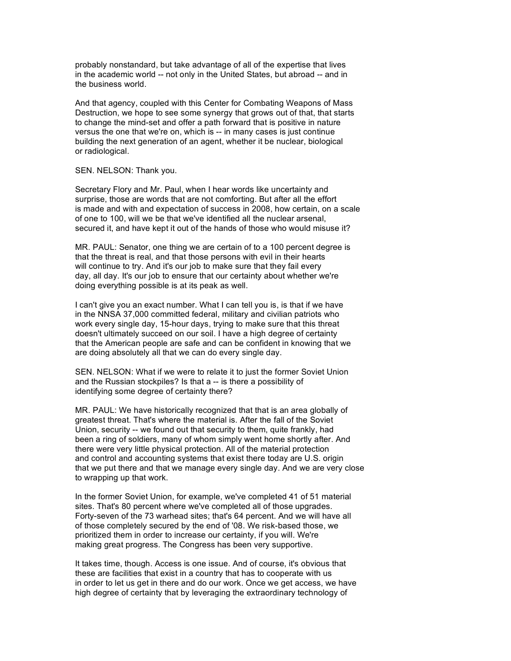probably nonstandard, but take advantage of all of the expertise that lives in the academic world -- not only in the United States, but abroad -- and in the business world.

And that agency, coupled with this Center for Combating Weapons of Mass Destruction, we hope to see some synergy that grows out of that, that starts to change the mind-set and offer a path forward that is positive in nature versus the one that we're on, which is -- in many cases is just continue building the next generation of an agent, whether it be nuclear, biological or radiological.

SEN. NELSON: Thank you.

Secretary Flory and Mr. Paul, when I hear words like uncertainty and surprise, those are words that are not comforting. But after all the effort is made and with and expectation of success in 2008, how certain, on a scale of one to 100, will we be that we've identified all the nuclear arsenal, secured it, and have kept it out of the hands of those who would misuse it?

MR. PAUL: Senator, one thing we are certain of to a 100 percent degree is that the threat is real, and that those persons with evil in their hearts will continue to try. And it's our job to make sure that they fail every day, all day. It's our job to ensure that our certainty about whether we're doing everything possible is at its peak as well.

I can't give you an exact number. What I can tell you is, is that if we have in the NNSA 37,000 committed federal, military and civilian patriots who work every single day, 15-hour days, trying to make sure that this threat doesn't ultimately succeed on our soil. I have a high degree of certainty that the American people are safe and can be confident in knowing that we are doing absolutely all that we can do every single day.

SEN. NELSON: What if we were to relate it to just the former Soviet Union and the Russian stockpiles? Is that a -- is there a possibility of identifying some degree of certainty there?

MR. PAUL: We have historically recognized that that is an area globally of greatest threat. That's where the material is. After the fall of the Soviet Union, security -- we found out that security to them, quite frankly, had been a ring of soldiers, many of whom simply went home shortly after. And there were very little physical protection. All of the material protection and control and accounting systems that exist there today are U.S. origin that we put there and that we manage every single day. And we are very close to wrapping up that work.

In the former Soviet Union, for example, we've completed 41 of 51 material sites. That's 80 percent where we've completed all of those upgrades. Forty-seven of the 73 warhead sites; that's 64 percent. And we will have all of those completely secured by the end of '08. We risk-based those, we prioritized them in order to increase our certainty, if you will. We're making great progress. The Congress has been very supportive.

It takes time, though. Access is one issue. And of course, it's obvious that these are facilities that exist in a country that has to cooperate with us in order to let us get in there and do our work. Once we get access, we have high degree of certainty that by leveraging the extraordinary technology of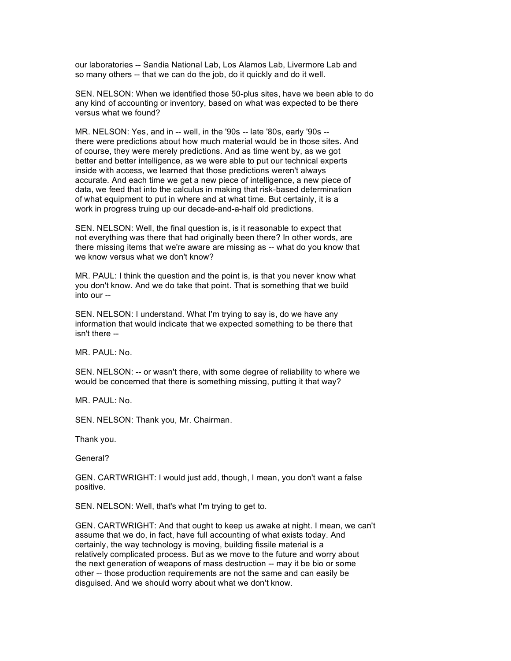our laboratories -- Sandia National Lab, Los Alamos Lab, Livermore Lab and so many others -- that we can do the job, do it quickly and do it well.

SEN. NELSON: When we identified those 50-plus sites, have we been able to do any kind of accounting or inventory, based on what was expected to be there versus what we found?

MR. NELSON: Yes, and in -- well, in the '90s -- late '80s, early '90s - there were predictions about how much material would be in those sites. And of course, they were merely predictions. And as time went by, as we got better and better intelligence, as we were able to put our technical experts inside with access, we learned that those predictions weren't always accurate. And each time we get a new piece of intelligence, a new piece of data, we feed that into the calculus in making that risk-based determination of what equipment to put in where and at what time. But certainly, it is a work in progress truing up our decade-and-a-half old predictions.

SEN. NELSON: Well, the final question is, is it reasonable to expect that not everything was there that had originally been there? In other words, are there missing items that we're aware are missing as -- what do you know that we know versus what we don't know?

MR. PAUL: I think the question and the point is, is that you never know what you don't know. And we do take that point. That is something that we build into our --

SEN. NELSON: I understand. What I'm trying to say is, do we have any information that would indicate that we expected something to be there that isn't there --

MR. PAUL: No.

SEN. NELSON: -- or wasn't there, with some degree of reliability to where we would be concerned that there is something missing, putting it that way?

MR. PAUL: No.

SEN. NELSON: Thank you, Mr. Chairman.

Thank you.

General?

GEN. CARTWRIGHT: I would just add, though, I mean, you don't want a false positive.

SEN. NELSON: Well, that's what I'm trying to get to.

GEN. CARTWRIGHT: And that ought to keep us awake at night. I mean, we can't assume that we do, in fact, have full accounting of what exists today. And certainly, the way technology is moving, building fissile material is a relatively complicated process. But as we move to the future and worry about the next generation of weapons of mass destruction -- may it be bio or some other -- those production requirements are not the same and can easily be disguised. And we should worry about what we don't know.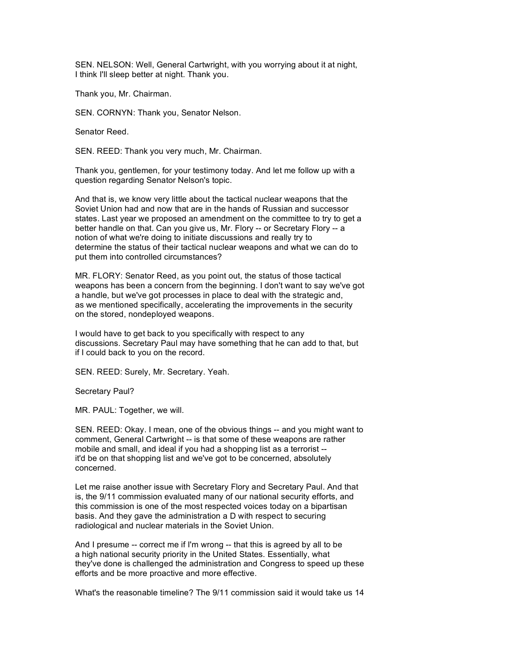SEN. NELSON: Well, General Cartwright, with you worrying about it at night, I think I'll sleep better at night. Thank you.

Thank you, Mr. Chairman.

SEN. CORNYN: Thank you, Senator Nelson.

Senator Reed.

SEN. REED: Thank you very much, Mr. Chairman.

Thank you, gentlemen, for your testimony today. And let me follow up with a question regarding Senator Nelson's topic.

And that is, we know very little about the tactical nuclear weapons that the Soviet Union had and now that are in the hands of Russian and successor states. Last year we proposed an amendment on the committee to try to get a better handle on that. Can you give us, Mr. Flory -- or Secretary Flory -- a notion of what we're doing to initiate discussions and really try to determine the status of their tactical nuclear weapons and what we can do to put them into controlled circumstances?

MR. FLORY: Senator Reed, as you point out, the status of those tactical weapons has been a concern from the beginning. I don't want to say we've got a handle, but we've got processes in place to deal with the strategic and, as we mentioned specifically, accelerating the improvements in the security on the stored, nondeployed weapons.

I would have to get back to you specifically with respect to any discussions. Secretary Paul may have something that he can add to that, but if I could back to you on the record.

SEN. REED: Surely, Mr. Secretary. Yeah.

Secretary Paul?

MR. PAUL: Together, we will.

SEN. REED: Okay. I mean, one of the obvious things -- and you might want to comment, General Cartwright -- is that some of these weapons are rather mobile and small, and ideal if you had a shopping list as a terrorist - it'd be on that shopping list and we've got to be concerned, absolutely concerned.

Let me raise another issue with Secretary Flory and Secretary Paul. And that is, the 9/11 commission evaluated many of our national security efforts, and this commission is one of the most respected voices today on a bipartisan basis. And they gave the administration a D with respect to securing radiological and nuclear materials in the Soviet Union.

And I presume -- correct me if I'm wrong -- that this is agreed by all to be a high national security priority in the United States. Essentially, what they've done is challenged the administration and Congress to speed up these efforts and be more proactive and more effective.

What's the reasonable timeline? The 9/11 commission said it would take us 14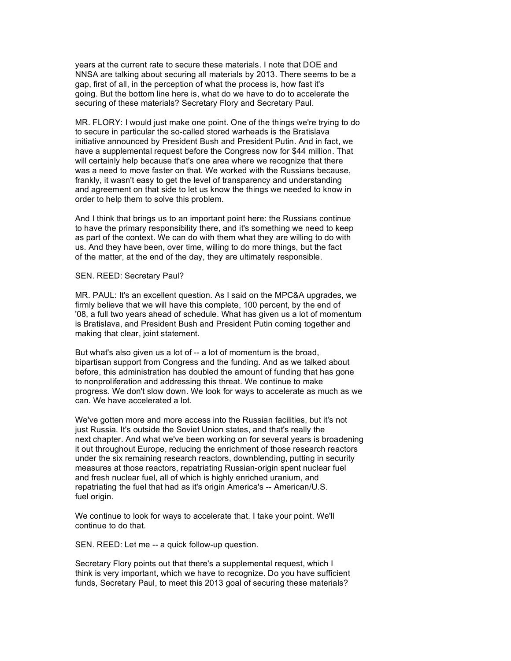years at the current rate to secure these materials. I note that DOE and NNSA are talking about securing all materials by 2013. There seems to be a gap, first of all, in the perception of what the process is, how fast it's going. But the bottom line here is, what do we have to do to accelerate the securing of these materials? Secretary Flory and Secretary Paul.

MR. FLORY: I would just make one point. One of the things we're trying to do to secure in particular the so-called stored warheads is the Bratislava initiative announced by President Bush and President Putin. And in fact, we have a supplemental request before the Congress now for \$44 million. That will certainly help because that's one area where we recognize that there was a need to move faster on that. We worked with the Russians because, frankly, it wasn't easy to get the level of transparency and understanding and agreement on that side to let us know the things we needed to know in order to help them to solve this problem.

And I think that brings us to an important point here: the Russians continue to have the primary responsibility there, and it's something we need to keep as part of the context. We can do with them what they are willing to do with us. And they have been, over time, willing to do more things, but the fact of the matter, at the end of the day, they are ultimately responsible.

## SEN. REED: Secretary Paul?

MR. PAUL: It's an excellent question. As I said on the MPC&A upgrades, we firmly believe that we will have this complete, 100 percent, by the end of '08, a full two years ahead of schedule. What has given us a lot of momentum is Bratislava, and President Bush and President Putin coming together and making that clear, joint statement.

But what's also given us a lot of -- a lot of momentum is the broad, bipartisan support from Congress and the funding. And as we talked about before, this administration has doubled the amount of funding that has gone to nonproliferation and addressing this threat. We continue to make progress. We don't slow down. We look for ways to accelerate as much as we can. We have accelerated a lot.

We've gotten more and more access into the Russian facilities, but it's not just Russia. It's outside the Soviet Union states, and that's really the next chapter. And what we've been working on for several years is broadening it out throughout Europe, reducing the enrichment of those research reactors under the six remaining research reactors, downblending, putting in security measures at those reactors, repatriating Russian-origin spent nuclear fuel and fresh nuclear fuel, all of which is highly enriched uranium, and repatriating the fuel that had as it's origin America's -- American/U.S. fuel origin.

We continue to look for ways to accelerate that. I take your point. We'll continue to do that.

SEN. REED: Let me -- a quick follow-up question.

Secretary Flory points out that there's a supplemental request, which I think is very important, which we have to recognize. Do you have sufficient funds, Secretary Paul, to meet this 2013 goal of securing these materials?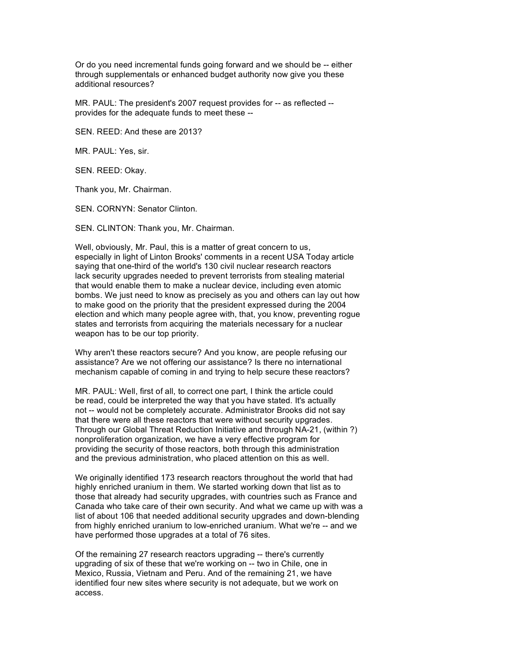Or do you need incremental funds going forward and we should be -- either through supplementals or enhanced budget authority now give you these additional resources?

MR. PAUL: The president's 2007 request provides for -- as reflected - provides for the adequate funds to meet these --

SEN. REED: And these are 2013?

MR. PAUL: Yes, sir.

SEN. REED: Okay.

Thank you, Mr. Chairman.

SEN. CORNYN: Senator Clinton.

SEN. CLINTON: Thank you, Mr. Chairman.

Well, obviously, Mr. Paul, this is a matter of great concern to us, especially in light of Linton Brooks' comments in a recent USA Today article saying that one-third of the world's 130 civil nuclear research reactors lack security upgrades needed to prevent terrorists from stealing material that would enable them to make a nuclear device, including even atomic bombs. We just need to know as precisely as you and others can lay out how to make good on the priority that the president expressed during the 2004 election and which many people agree with, that, you know, preventing rogue states and terrorists from acquiring the materials necessary for a nuclear weapon has to be our top priority.

Why aren't these reactors secure? And you know, are people refusing our assistance? Are we not offering our assistance? Is there no international mechanism capable of coming in and trying to help secure these reactors?

MR. PAUL: Well, first of all, to correct one part, I think the article could be read, could be interpreted the way that you have stated. It's actually not -- would not be completely accurate. Administrator Brooks did not say that there were all these reactors that were without security upgrades. Through our Global Threat Reduction Initiative and through NA-21, (within ?) nonproliferation organization, we have a very effective program for providing the security of those reactors, both through this administration and the previous administration, who placed attention on this as well.

We originally identified 173 research reactors throughout the world that had highly enriched uranium in them. We started working down that list as to those that already had security upgrades, with countries such as France and Canada who take care of their own security. And what we came up with was a list of about 106 that needed additional security upgrades and down-blending from highly enriched uranium to low-enriched uranium. What we're -- and we have performed those upgrades at a total of 76 sites.

Of the remaining 27 research reactors upgrading -- there's currently upgrading of six of these that we're working on -- two in Chile, one in Mexico, Russia, Vietnam and Peru. And of the remaining 21, we have identified four new sites where security is not adequate, but we work on access.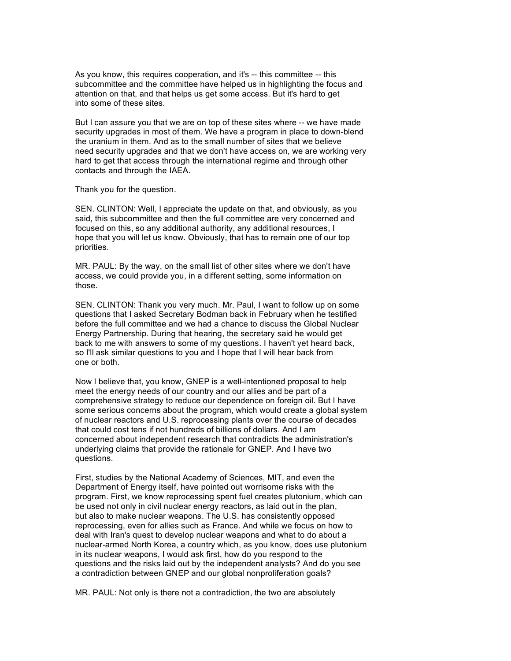As you know, this requires cooperation, and it's -- this committee -- this subcommittee and the committee have helped us in highlighting the focus and attention on that, and that helps us get some access. But it's hard to get into some of these sites.

But I can assure you that we are on top of these sites where -- we have made security upgrades in most of them. We have a program in place to down-blend the uranium in them. And as to the small number of sites that we believe need security upgrades and that we don't have access on, we are working very hard to get that access through the international regime and through other contacts and through the IAEA.

Thank you for the question.

SEN. CLINTON: Well, I appreciate the update on that, and obviously, as you said, this subcommittee and then the full committee are very concerned and focused on this, so any additional authority, any additional resources, I hope that you will let us know. Obviously, that has to remain one of our top priorities.

MR. PAUL: By the way, on the small list of other sites where we don't have access, we could provide you, in a different setting, some information on those.

SEN. CLINTON: Thank you very much. Mr. Paul, I want to follow up on some questions that I asked Secretary Bodman back in February when he testified before the full committee and we had a chance to discuss the Global Nuclear Energy Partnership. During that hearing, the secretary said he would get back to me with answers to some of my questions. I haven't yet heard back, so I'll ask similar questions to you and I hope that I will hear back from one or both.

Now I believe that, you know, GNEP is a well-intentioned proposal to help meet the energy needs of our country and our allies and be part of a comprehensive strategy to reduce our dependence on foreign oil. But I have some serious concerns about the program, which would create a global system of nuclear reactors and U.S. reprocessing plants over the course of decades that could cost tens if not hundreds of billions of dollars. And I am concerned about independent research that contradicts the administration's underlying claims that provide the rationale for GNEP. And I have two questions.

First, studies by the National Academy of Sciences, MIT, and even the Department of Energy itself, have pointed out worrisome risks with the program. First, we know reprocessing spent fuel creates plutonium, which can be used not only in civil nuclear energy reactors, as laid out in the plan, but also to make nuclear weapons. The U.S. has consistently opposed reprocessing, even for allies such as France. And while we focus on how to deal with Iran's quest to develop nuclear weapons and what to do about a nuclear-armed North Korea, a country which, as you know, does use plutonium in its nuclear weapons, I would ask first, how do you respond to the questions and the risks laid out by the independent analysts? And do you see a contradiction between GNEP and our global nonproliferation goals?

MR. PAUL: Not only is there not a contradiction, the two are absolutely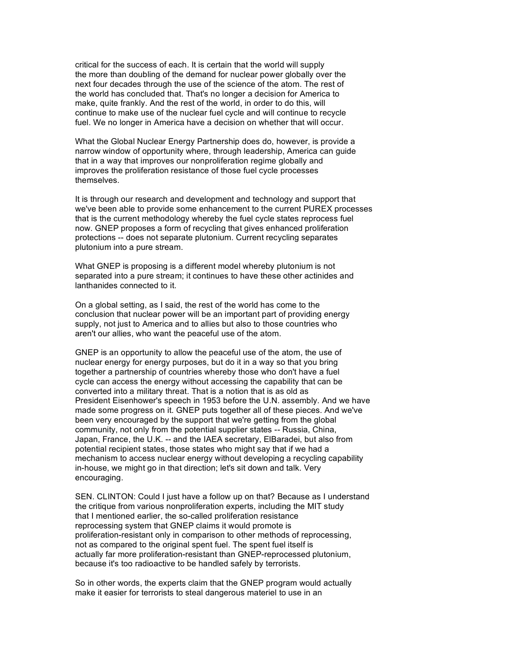critical for the success of each. It is certain that the world will supply the more than doubling of the demand for nuclear power globally over the next four decades through the use of the science of the atom. The rest of the world has concluded that. That's no longer a decision for America to make, quite frankly. And the rest of the world, in order to do this, will continue to make use of the nuclear fuel cycle and will continue to recycle fuel. We no longer in America have a decision on whether that will occur.

What the Global Nuclear Energy Partnership does do, however, is provide a narrow window of opportunity where, through leadership, America can guide that in a way that improves our nonproliferation regime globally and improves the proliferation resistance of those fuel cycle processes themselves.

It is through our research and development and technology and support that we've been able to provide some enhancement to the current PUREX processes that is the current methodology whereby the fuel cycle states reprocess fuel now. GNEP proposes a form of recycling that gives enhanced proliferation protections -- does not separate plutonium. Current recycling separates plutonium into a pure stream.

What GNEP is proposing is a different model whereby plutonium is not separated into a pure stream; it continues to have these other actinides and lanthanides connected to it.

On a global setting, as I said, the rest of the world has come to the conclusion that nuclear power will be an important part of providing energy supply, not just to America and to allies but also to those countries who aren't our allies, who want the peaceful use of the atom.

GNEP is an opportunity to allow the peaceful use of the atom, the use of nuclear energy for energy purposes, but do it in a way so that you bring together a partnership of countries whereby those who don't have a fuel cycle can access the energy without accessing the capability that can be converted into a military threat. That is a notion that is as old as President Eisenhower's speech in 1953 before the U.N. assembly. And we have made some progress on it. GNEP puts together all of these pieces. And we've been very encouraged by the support that we're getting from the global community, not only from the potential supplier states -- Russia, China, Japan, France, the U.K. -- and the IAEA secretary, ElBaradei, but also from potential recipient states, those states who might say that if we had a mechanism to access nuclear energy without developing a recycling capability in-house, we might go in that direction; let's sit down and talk. Very encouraging.

SEN. CLINTON: Could I just have a follow up on that? Because as I understand the critique from various nonproliferation experts, including the MIT study that I mentioned earlier, the so-called proliferation resistance reprocessing system that GNEP claims it would promote is proliferation-resistant only in comparison to other methods of reprocessing, not as compared to the original spent fuel. The spent fuel itself is actually far more proliferation-resistant than GNEP-reprocessed plutonium, because it's too radioactive to be handled safely by terrorists.

So in other words, the experts claim that the GNEP program would actually make it easier for terrorists to steal dangerous materiel to use in an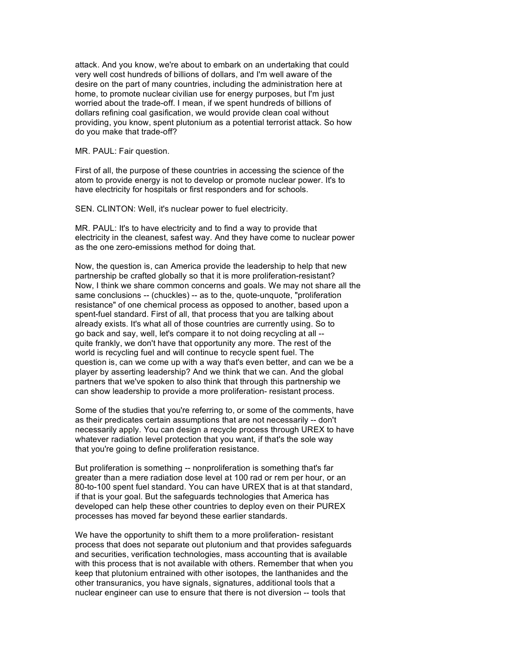attack. And you know, we're about to embark on an undertaking that could very well cost hundreds of billions of dollars, and I'm well aware of the desire on the part of many countries, including the administration here at home, to promote nuclear civilian use for energy purposes, but I'm just worried about the trade-off. I mean, if we spent hundreds of billions of dollars refining coal gasification, we would provide clean coal without providing, you know, spent plutonium as a potential terrorist attack. So how do you make that trade-off?

MR. PAUL: Fair question.

First of all, the purpose of these countries in accessing the science of the atom to provide energy is not to develop or promote nuclear power. It's to have electricity for hospitals or first responders and for schools.

SEN. CLINTON: Well, it's nuclear power to fuel electricity.

MR. PAUL: It's to have electricity and to find a way to provide that electricity in the cleanest, safest way. And they have come to nuclear power as the one zero-emissions method for doing that.

Now, the question is, can America provide the leadership to help that new partnership be crafted globally so that it is more proliferation-resistant? Now, I think we share common concerns and goals. We may not share all the same conclusions -- (chuckles) -- as to the, quote-unquote, "proliferation resistance" of one chemical process as opposed to another, based upon a spent-fuel standard. First of all, that process that you are talking about already exists. It's what all of those countries are currently using. So to go back and say, well, let's compare it to not doing recycling at all - quite frankly, we don't have that opportunity any more. The rest of the world is recycling fuel and will continue to recycle spent fuel. The question is, can we come up with a way that's even better, and can we be a player by asserting leadership? And we think that we can. And the global partners that we've spoken to also think that through this partnership we can show leadership to provide a more proliferation- resistant process.

Some of the studies that you're referring to, or some of the comments, have as their predicates certain assumptions that are not necessarily -- don't necessarily apply. You can design a recycle process through UREX to have whatever radiation level protection that you want, if that's the sole way that you're going to define proliferation resistance.

But proliferation is something -- nonproliferation is something that's far greater than a mere radiation dose level at 100 rad or rem per hour, or an 80-to-100 spent fuel standard. You can have UREX that is at that standard, if that is your goal. But the safeguards technologies that America has developed can help these other countries to deploy even on their PUREX processes has moved far beyond these earlier standards.

We have the opportunity to shift them to a more proliferation- resistant process that does not separate out plutonium and that provides safeguards and securities, verification technologies, mass accounting that is available with this process that is not available with others. Remember that when you keep that plutonium entrained with other isotopes, the lanthanides and the other transuranics, you have signals, signatures, additional tools that a nuclear engineer can use to ensure that there is not diversion -- tools that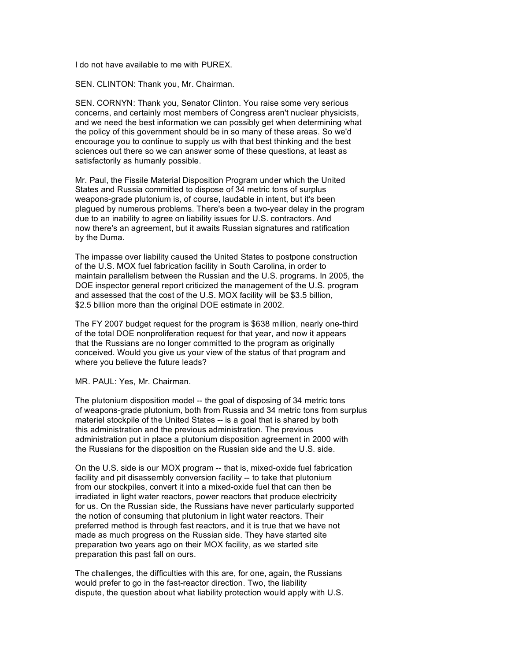I do not have available to me with PUREX.

SEN. CLINTON: Thank you, Mr. Chairman.

SEN. CORNYN: Thank you, Senator Clinton. You raise some very serious concerns, and certainly most members of Congress aren't nuclear physicists, and we need the best information we can possibly get when determining what the policy of this government should be in so many of these areas. So we'd encourage you to continue to supply us with that best thinking and the best sciences out there so we can answer some of these questions, at least as satisfactorily as humanly possible.

Mr. Paul, the Fissile Material Disposition Program under which the United States and Russia committed to dispose of 34 metric tons of surplus weapons-grade plutonium is, of course, laudable in intent, but it's been plagued by numerous problems. There's been a two-year delay in the program due to an inability to agree on liability issues for U.S. contractors. And now there's an agreement, but it awaits Russian signatures and ratification by the Duma.

The impasse over liability caused the United States to postpone construction of the U.S. MOX fuel fabrication facility in South Carolina, in order to maintain parallelism between the Russian and the U.S. programs. In 2005, the DOE inspector general report criticized the management of the U.S. program and assessed that the cost of the U.S. MOX facility will be \$3.5 billion, \$2.5 billion more than the original DOE estimate in 2002.

The FY 2007 budget request for the program is \$638 million, nearly one-third of the total DOE nonproliferation request for that year, and now it appears that the Russians are no longer committed to the program as originally conceived. Would you give us your view of the status of that program and where you believe the future leads?

MR. PAUL: Yes, Mr. Chairman.

The plutonium disposition model -- the goal of disposing of 34 metric tons of weapons-grade plutonium, both from Russia and 34 metric tons from surplus materiel stockpile of the United States -- is a goal that is shared by both this administration and the previous administration. The previous administration put in place a plutonium disposition agreement in 2000 with the Russians for the disposition on the Russian side and the U.S. side.

On the U.S. side is our MOX program -- that is, mixed-oxide fuel fabrication facility and pit disassembly conversion facility -- to take that plutonium from our stockpiles, convert it into a mixed-oxide fuel that can then be irradiated in light water reactors, power reactors that produce electricity for us. On the Russian side, the Russians have never particularly supported the notion of consuming that plutonium in light water reactors. Their preferred method is through fast reactors, and it is true that we have not made as much progress on the Russian side. They have started site preparation two years ago on their MOX facility, as we started site preparation this past fall on ours.

The challenges, the difficulties with this are, for one, again, the Russians would prefer to go in the fast-reactor direction. Two, the liability dispute, the question about what liability protection would apply with U.S.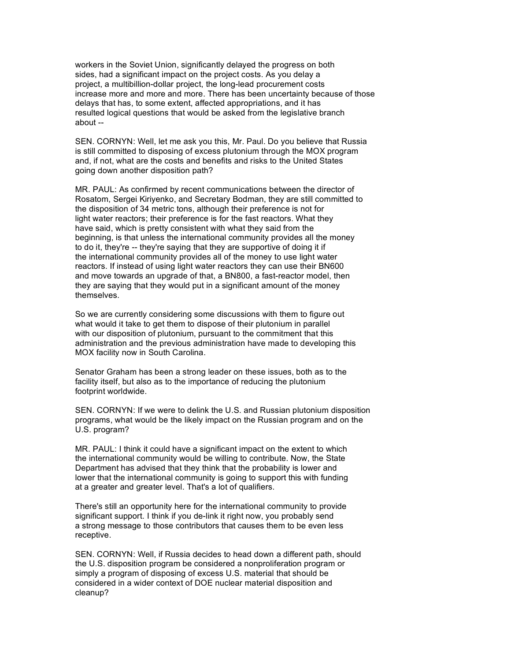workers in the Soviet Union, significantly delayed the progress on both sides, had a significant impact on the project costs. As you delay a project, a multibillion-dollar project, the long-lead procurement costs increase more and more and more. There has been uncertainty because of those delays that has, to some extent, affected appropriations, and it has resulted logical questions that would be asked from the legislative branch about --

SEN. CORNYN: Well, let me ask you this, Mr. Paul. Do you believe that Russia is still committed to disposing of excess plutonium through the MOX program and, if not, what are the costs and benefits and risks to the United States going down another disposition path?

MR. PAUL: As confirmed by recent communications between the director of Rosatom, Sergei Kiriyenko, and Secretary Bodman, they are still committed to the disposition of 34 metric tons, although their preference is not for light water reactors; their preference is for the fast reactors. What they have said, which is pretty consistent with what they said from the beginning, is that unless the international community provides all the money to do it, they're -- they're saying that they are supportive of doing it if the international community provides all of the money to use light water reactors. If instead of using light water reactors they can use their BN600 and move towards an upgrade of that, a BN800, a fast-reactor model, then they are saying that they would put in a significant amount of the money themselves.

So we are currently considering some discussions with them to figure out what would it take to get them to dispose of their plutonium in parallel with our disposition of plutonium, pursuant to the commitment that this administration and the previous administration have made to developing this MOX facility now in South Carolina.

Senator Graham has been a strong leader on these issues, both as to the facility itself, but also as to the importance of reducing the plutonium footprint worldwide.

SEN. CORNYN: If we were to delink the U.S. and Russian plutonium disposition programs, what would be the likely impact on the Russian program and on the U.S. program?

MR. PAUL: I think it could have a significant impact on the extent to which the international community would be willing to contribute. Now, the State Department has advised that they think that the probability is lower and lower that the international community is going to support this with funding at a greater and greater level. That's a lot of qualifiers.

There's still an opportunity here for the international community to provide significant support. I think if you de-link it right now, you probably send a strong message to those contributors that causes them to be even less receptive.

SEN. CORNYN: Well, if Russia decides to head down a different path, should the U.S. disposition program be considered a nonproliferation program or simply a program of disposing of excess U.S. material that should be considered in a wider context of DOE nuclear material disposition and cleanup?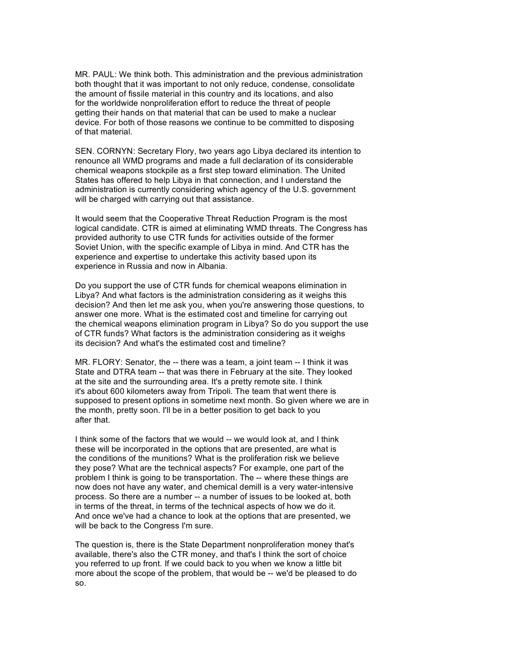MR. PAUL: We think both. This administration and the previous administration both thought that it was important to not only reduce, condense, consolidate the amount of fissile material in this country and its locations, and also for the worldwide nonproliferation effort to reduce the threat of people getting their hands on that material that can be used to make a nuclear device. For both of those reasons we continue to be committed to disposing of that material.

SEN. CORNYN: Secretary Flory, two years ago Libya declared its intention to renounce all WMD programs and made a full declaration of its considerable chemical weapons stockpile as a first step toward elimination. The United States has offered to help Libya in that connection, and I understand the administration is currently considering which agency of the U.S. government will be charged with carrying out that assistance.

It would seem that the Cooperative Threat Reduction Program is the most logical candidate. CTR is aimed at eliminating WMD threats. The Congress has provided authority to use CTR funds for activities outside of the former Soviet Union, with the specific example of Libya in mind. And CTR has the experience and expertise to undertake this activity based upon its experience in Russia and now in Albania.

Do you support the use of CTR funds for chemical weapons elimination in Libya? And what factors is the administration considering as it weighs this decision? And then let me ask you, when you're answering those questions, to answer one more. What is the estimated cost and timeline for carrying out the chemical weapons elimination program in Libya? So do you support the use of CTR funds? What factors is the administration considering as it weighs its decision? And what's the estimated cost and timeline?

MR. FLORY: Senator, the -- there was a team, a joint team -- I think it was State and DTRA team -- that was there in February at the site. They looked at the site and the surrounding area. It's a pretty remote site. I think it's about 600 kilometers away from Tripoli. The team that went there is supposed to present options in sometime next month. So given where we are in the month, pretty soon. I'll be in a better position to get back to you after that.

I think some of the factors that we would -- we would look at, and I think these will be incorporated in the options that are presented, are what is the conditions of the munitions? What is the proliferation risk we believe they pose? What are the technical aspects? For example, one part of the problem I think is going to be transportation. The -- where these things are now does not have any water, and chemical demill is a very water-intensive process. So there are a number -- a number of issues to be looked at, both in terms of the threat, in terms of the technical aspects of how we do it. And once we've had a chance to look at the options that are presented, we will be back to the Congress I'm sure.

The question is, there is the State Department nonproliferation money that's available, there's also the CTR money, and that's I think the sort of choice you referred to up front. If we could back to you when we know a little bit more about the scope of the problem, that would be -- we'd be pleased to do so.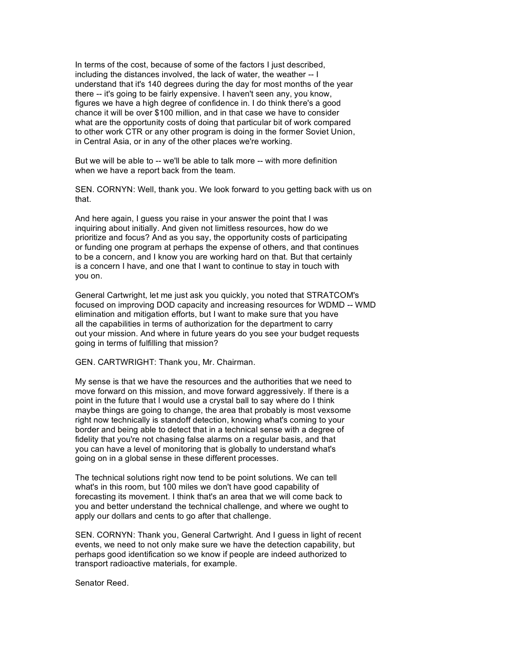In terms of the cost, because of some of the factors I just described, including the distances involved, the lack of water, the weather -- I understand that it's 140 degrees during the day for most months of the year there -- it's going to be fairly expensive. I haven't seen any, you know, figures we have a high degree of confidence in. I do think there's a good chance it will be over \$100 million, and in that case we have to consider what are the opportunity costs of doing that particular bit of work compared to other work CTR or any other program is doing in the former Soviet Union, in Central Asia, or in any of the other places we're working.

But we will be able to -- we'll be able to talk more -- with more definition when we have a report back from the team.

SEN. CORNYN: Well, thank you. We look forward to you getting back with us on that.

And here again, I guess you raise in your answer the point that I was inquiring about initially. And given not limitless resources, how do we prioritize and focus? And as you say, the opportunity costs of participating or funding one program at perhaps the expense of others, and that continues to be a concern, and I know you are working hard on that. But that certainly is a concern I have, and one that I want to continue to stay in touch with you on.

General Cartwright, let me just ask you quickly, you noted that STRATCOM's focused on improving DOD capacity and increasing resources for WDMD -- WMD elimination and mitigation efforts, but I want to make sure that you have all the capabilities in terms of authorization for the department to carry out your mission. And where in future years do you see your budget requests going in terms of fulfilling that mission?

GEN. CARTWRIGHT: Thank you, Mr. Chairman.

My sense is that we have the resources and the authorities that we need to move forward on this mission, and move forward aggressively. If there is a point in the future that I would use a crystal ball to say where do I think maybe things are going to change, the area that probably is most vexsome right now technically is standoff detection, knowing what's coming to your border and being able to detect that in a technical sense with a degree of fidelity that you're not chasing false alarms on a regular basis, and that you can have a level of monitoring that is globally to understand what's going on in a global sense in these different processes.

The technical solutions right now tend to be point solutions. We can tell what's in this room, but 100 miles we don't have good capability of forecasting its movement. I think that's an area that we will come back to you and better understand the technical challenge, and where we ought to apply our dollars and cents to go after that challenge.

SEN. CORNYN: Thank you, General Cartwright. And I guess in light of recent events, we need to not only make sure we have the detection capability, but perhaps good identification so we know if people are indeed authorized to transport radioactive materials, for example.

Senator Reed.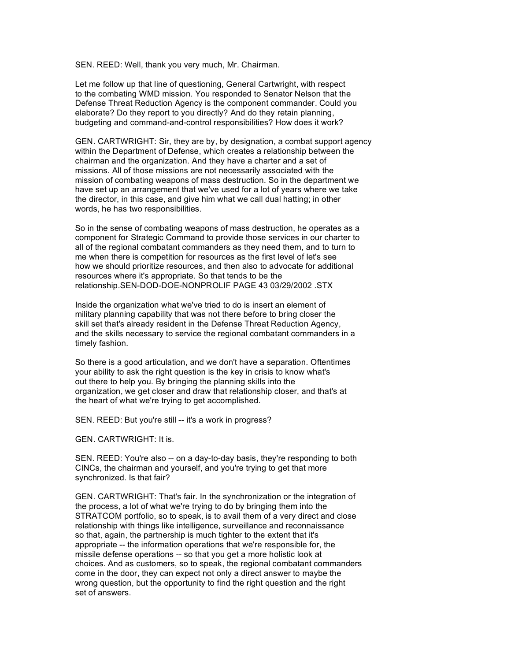SEN. REED: Well, thank you very much, Mr. Chairman.

Let me follow up that line of questioning, General Cartwright, with respect to the combating WMD mission. You responded to Senator Nelson that the Defense Threat Reduction Agency is the component commander. Could you elaborate? Do they report to you directly? And do they retain planning, budgeting and command-and-control responsibilities? How does it work?

GEN. CARTWRIGHT: Sir, they are by, by designation, a combat support agency within the Department of Defense, which creates a relationship between the chairman and the organization. And they have a charter and a set of missions. All of those missions are not necessarily associated with the mission of combating weapons of mass destruction. So in the department we have set up an arrangement that we've used for a lot of years where we take the director, in this case, and give him what we call dual hatting; in other words, he has two responsibilities.

So in the sense of combating weapons of mass destruction, he operates as a component for Strategic Command to provide those services in our charter to all of the regional combatant commanders as they need them, and to turn to me when there is competition for resources as the first level of let's see how we should prioritize resources, and then also to advocate for additional resources where it's appropriate. So that tends to be the relationship.SEN-DOD-DOE-NONPROLIF PAGE 43 03/29/2002 .STX

Inside the organization what we've tried to do is insert an element of military planning capability that was not there before to bring closer the skill set that's already resident in the Defense Threat Reduction Agency, and the skills necessary to service the regional combatant commanders in a timely fashion.

So there is a good articulation, and we don't have a separation. Oftentimes your ability to ask the right question is the key in crisis to know what's out there to help you. By bringing the planning skills into the organization, we get closer and draw that relationship closer, and that's at the heart of what we're trying to get accomplished.

SEN. REED: But you're still -- it's a work in progress?

GEN. CARTWRIGHT: It is.

SEN. REED: You're also -- on a day-to-day basis, they're responding to both CINCs, the chairman and yourself, and you're trying to get that more synchronized. Is that fair?

GEN. CARTWRIGHT: That's fair. In the synchronization or the integration of the process, a lot of what we're trying to do by bringing them into the STRATCOM portfolio, so to speak, is to avail them of a very direct and close relationship with things like intelligence, surveillance and reconnaissance so that, again, the partnership is much tighter to the extent that it's appropriate -- the information operations that we're responsible for, the missile defense operations -- so that you get a more holistic look at choices. And as customers, so to speak, the regional combatant commanders come in the door, they can expect not only a direct answer to maybe the wrong question, but the opportunity to find the right question and the right set of answers.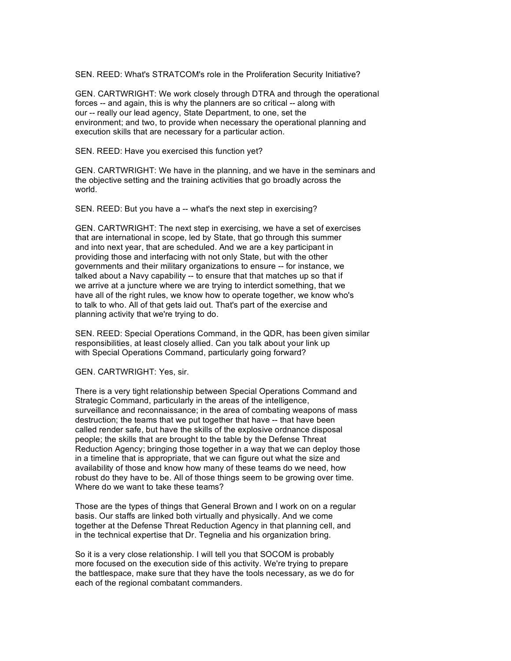SEN. REED: What's STRATCOM's role in the Proliferation Security Initiative?

GEN. CARTWRIGHT: We work closely through DTRA and through the operational forces -- and again, this is why the planners are so critical -- along with our -- really our lead agency, State Department, to one, set the environment; and two, to provide when necessary the operational planning and execution skills that are necessary for a particular action.

SEN. REED: Have you exercised this function yet?

GEN. CARTWRIGHT: We have in the planning, and we have in the seminars and the objective setting and the training activities that go broadly across the world.

SEN. REED: But you have a -- what's the next step in exercising?

GEN. CARTWRIGHT: The next step in exercising, we have a set of exercises that are international in scope, led by State, that go through this summer and into next year, that are scheduled. And we are a key participant in providing those and interfacing with not only State, but with the other governments and their military organizations to ensure -- for instance, we talked about a Navy capability -- to ensure that that matches up so that if we arrive at a juncture where we are trying to interdict something, that we have all of the right rules, we know how to operate together, we know who's to talk to who. All of that gets laid out. That's part of the exercise and planning activity that we're trying to do.

SEN. REED: Special Operations Command, in the QDR, has been given similar responsibilities, at least closely allied. Can you talk about your link up with Special Operations Command, particularly going forward?

GEN. CARTWRIGHT: Yes, sir.

There is a very tight relationship between Special Operations Command and Strategic Command, particularly in the areas of the intelligence, surveillance and reconnaissance; in the area of combating weapons of mass destruction; the teams that we put together that have -- that have been called render safe, but have the skills of the explosive ordnance disposal people; the skills that are brought to the table by the Defense Threat Reduction Agency; bringing those together in a way that we can deploy those in a timeline that is appropriate, that we can figure out what the size and availability of those and know how many of these teams do we need, how robust do they have to be. All of those things seem to be growing over time. Where do we want to take these teams?

Those are the types of things that General Brown and I work on on a regular basis. Our staffs are linked both virtually and physically. And we come together at the Defense Threat Reduction Agency in that planning cell, and in the technical expertise that Dr. Tegnelia and his organization bring.

So it is a very close relationship. I will tell you that SOCOM is probably more focused on the execution side of this activity. We're trying to prepare the battlespace, make sure that they have the tools necessary, as we do for each of the regional combatant commanders.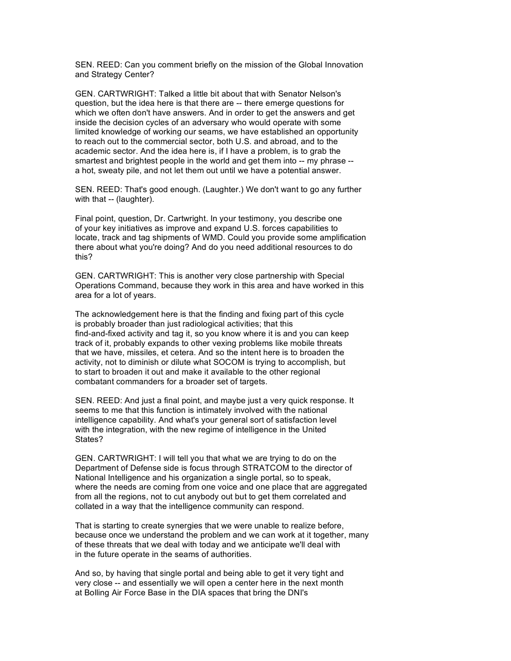SEN. REED: Can you comment briefly on the mission of the Global Innovation and Strategy Center?

GEN. CARTWRIGHT: Talked a little bit about that with Senator Nelson's question, but the idea here is that there are -- there emerge questions for which we often don't have answers. And in order to get the answers and get inside the decision cycles of an adversary who would operate with some limited knowledge of working our seams, we have established an opportunity to reach out to the commercial sector, both U.S. and abroad, and to the academic sector. And the idea here is, if I have a problem, is to grab the smartest and brightest people in the world and get them into -- my phrase - a hot, sweaty pile, and not let them out until we have a potential answer.

SEN. REED: That's good enough. (Laughter.) We don't want to go any further with that -- (laughter).

Final point, question, Dr. Cartwright. In your testimony, you describe one of your key initiatives as improve and expand U.S. forces capabilities to locate, track and tag shipments of WMD. Could you provide some amplification there about what you're doing? And do you need additional resources to do this?

GEN. CARTWRIGHT: This is another very close partnership with Special Operations Command, because they work in this area and have worked in this area for a lot of years.

The acknowledgement here is that the finding and fixing part of this cycle is probably broader than just radiological activities; that this find-and-fixed activity and tag it, so you know where it is and you can keep track of it, probably expands to other vexing problems like mobile threats that we have, missiles, et cetera. And so the intent here is to broaden the activity, not to diminish or dilute what SOCOM is trying to accomplish, but to start to broaden it out and make it available to the other regional combatant commanders for a broader set of targets.

SEN. REED: And just a final point, and maybe just a very quick response. It seems to me that this function is intimately involved with the national intelligence capability. And what's your general sort of satisfaction level with the integration, with the new regime of intelligence in the United States?

GEN. CARTWRIGHT: I will tell you that what we are trying to do on the Department of Defense side is focus through STRATCOM to the director of National Intelligence and his organization a single portal, so to speak, where the needs are coming from one voice and one place that are aggregated from all the regions, not to cut anybody out but to get them correlated and collated in a way that the intelligence community can respond.

That is starting to create synergies that we were unable to realize before, because once we understand the problem and we can work at it together, many of these threats that we deal with today and we anticipate we'll deal with in the future operate in the seams of authorities.

And so, by having that single portal and being able to get it very tight and very close -- and essentially we will open a center here in the next month at Bolling Air Force Base in the DIA spaces that bring the DNI's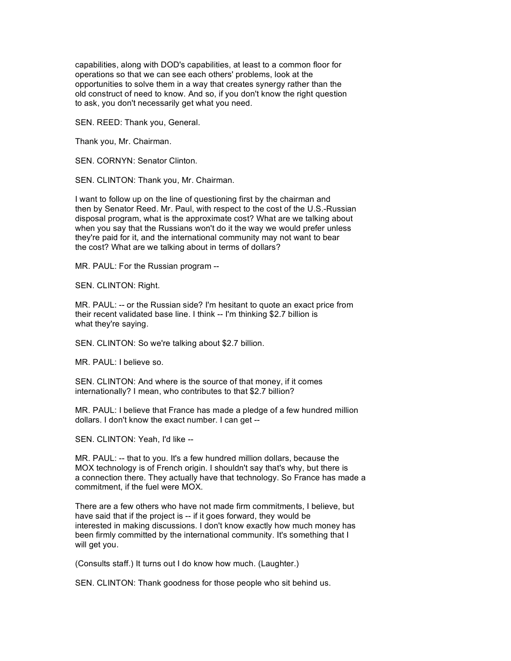capabilities, along with DOD's capabilities, at least to a common floor for operations so that we can see each others' problems, look at the opportunities to solve them in a way that creates synergy rather than the old construct of need to know. And so, if you don't know the right question to ask, you don't necessarily get what you need.

SEN. REED: Thank you, General.

Thank you, Mr. Chairman.

SEN. CORNYN: Senator Clinton.

SEN. CLINTON: Thank you, Mr. Chairman.

I want to follow up on the line of questioning first by the chairman and then by Senator Reed. Mr. Paul, with respect to the cost of the U.S.-Russian disposal program, what is the approximate cost? What are we talking about when you say that the Russians won't do it the way we would prefer unless they're paid for it, and the international community may not want to bear the cost? What are we talking about in terms of dollars?

MR. PAUL: For the Russian program --

SEN. CLINTON: Right.

MR. PAUL: -- or the Russian side? I'm hesitant to quote an exact price from their recent validated base line. I think -- I'm thinking \$2.7 billion is what they're saying.

SEN. CLINTON: So we're talking about \$2.7 billion.

MR. PAUL: I believe so.

SEN. CLINTON: And where is the source of that money, if it comes internationally? I mean, who contributes to that \$2.7 billion?

MR. PAUL: I believe that France has made a pledge of a few hundred million dollars. I don't know the exact number. I can get --

SEN. CLINTON: Yeah, I'd like --

MR. PAUL: -- that to you. It's a few hundred million dollars, because the MOX technology is of French origin. I shouldn't say that's why, but there is a connection there. They actually have that technology. So France has made a commitment, if the fuel were MOX.

There are a few others who have not made firm commitments, I believe, but have said that if the project is -- if it goes forward, they would be interested in making discussions. I don't know exactly how much money has been firmly committed by the international community. It's something that I will get you.

(Consults staff.) It turns out I do know how much. (Laughter.)

SEN. CLINTON: Thank goodness for those people who sit behind us.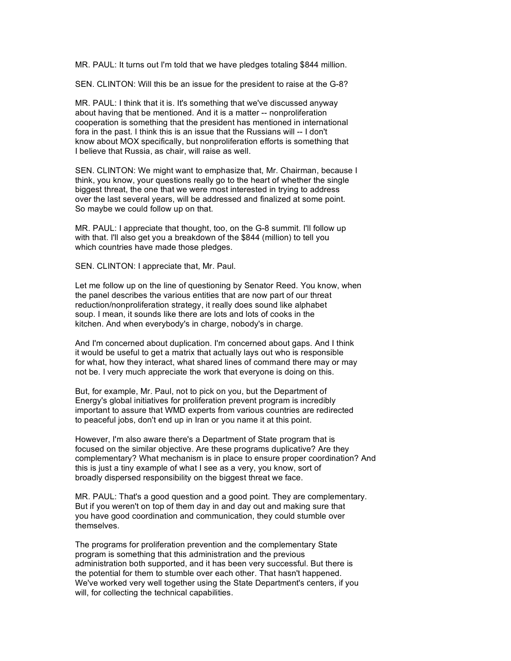MR. PAUL: It turns out I'm told that we have pledges totaling \$844 million.

SEN. CLINTON: Will this be an issue for the president to raise at the G-8?

MR. PAUL: I think that it is. It's something that we've discussed anyway about having that be mentioned. And it is a matter -- nonproliferation cooperation is something that the president has mentioned in international fora in the past. I think this is an issue that the Russians will -- I don't know about MOX specifically, but nonproliferation efforts is something that I believe that Russia, as chair, will raise as well.

SEN. CLINTON: We might want to emphasize that, Mr. Chairman, because I think, you know, your questions really go to the heart of whether the single biggest threat, the one that we were most interested in trying to address over the last several years, will be addressed and finalized at some point. So maybe we could follow up on that.

MR. PAUL: I appreciate that thought, too, on the G-8 summit. I'll follow up with that. I'll also get you a breakdown of the \$844 (million) to tell you which countries have made those pledges.

SEN. CLINTON: I appreciate that, Mr. Paul.

Let me follow up on the line of questioning by Senator Reed. You know, when the panel describes the various entities that are now part of our threat reduction/nonproliferation strategy, it really does sound like alphabet soup. I mean, it sounds like there are lots and lots of cooks in the kitchen. And when everybody's in charge, nobody's in charge.

And I'm concerned about duplication. I'm concerned about gaps. And I think it would be useful to get a matrix that actually lays out who is responsible for what, how they interact, what shared lines of command there may or may not be. I very much appreciate the work that everyone is doing on this.

But, for example, Mr. Paul, not to pick on you, but the Department of Energy's global initiatives for proliferation prevent program is incredibly important to assure that WMD experts from various countries are redirected to peaceful jobs, don't end up in Iran or you name it at this point.

However, I'm also aware there's a Department of State program that is focused on the similar objective. Are these programs duplicative? Are they complementary? What mechanism is in place to ensure proper coordination? And this is just a tiny example of what I see as a very, you know, sort of broadly dispersed responsibility on the biggest threat we face.

MR. PAUL: That's a good question and a good point. They are complementary. But if you weren't on top of them day in and day out and making sure that you have good coordination and communication, they could stumble over themselves.

The programs for proliferation prevention and the complementary State program is something that this administration and the previous administration both supported, and it has been very successful. But there is the potential for them to stumble over each other. That hasn't happened. We've worked very well together using the State Department's centers, if you will, for collecting the technical capabilities.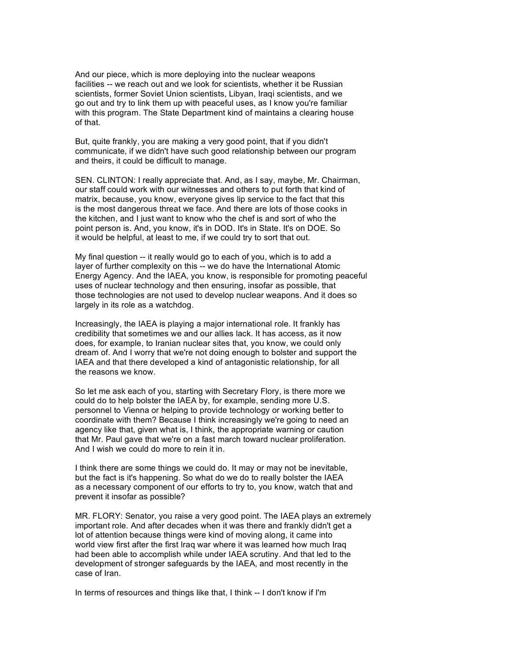And our piece, which is more deploying into the nuclear weapons facilities -- we reach out and we look for scientists, whether it be Russian scientists, former Soviet Union scientists, Libyan, Iraqi scientists, and we go out and try to link them up with peaceful uses, as I know you're familiar with this program. The State Department kind of maintains a clearing house of that.

But, quite frankly, you are making a very good point, that if you didn't communicate, if we didn't have such good relationship between our program and theirs, it could be difficult to manage.

SEN. CLINTON: I really appreciate that. And, as I say, maybe, Mr. Chairman, our staff could work with our witnesses and others to put forth that kind of matrix, because, you know, everyone gives lip service to the fact that this is the most dangerous threat we face. And there are lots of those cooks in the kitchen, and I just want to know who the chef is and sort of who the point person is. And, you know, it's in DOD. It's in State. It's on DOE. So it would be helpful, at least to me, if we could try to sort that out.

My final question -- it really would go to each of you, which is to add a layer of further complexity on this -- we do have the International Atomic Energy Agency. And the IAEA, you know, is responsible for promoting peaceful uses of nuclear technology and then ensuring, insofar as possible, that those technologies are not used to develop nuclear weapons. And it does so largely in its role as a watchdog.

Increasingly, the IAEA is playing a major international role. It frankly has credibility that sometimes we and our allies lack. It has access, as it now does, for example, to Iranian nuclear sites that, you know, we could only dream of. And I worry that we're not doing enough to bolster and support the IAEA and that there developed a kind of antagonistic relationship, for all the reasons we know.

So let me ask each of you, starting with Secretary Flory, is there more we could do to help bolster the IAEA by, for example, sending more U.S. personnel to Vienna or helping to provide technology or working better to coordinate with them? Because I think increasingly we're going to need an agency like that, given what is, I think, the appropriate warning or caution that Mr. Paul gave that we're on a fast march toward nuclear proliferation. And I wish we could do more to rein it in.

I think there are some things we could do. It may or may not be inevitable, but the fact is it's happening. So what do we do to really bolster the IAEA as a necessary component of our efforts to try to, you know, watch that and prevent it insofar as possible?

MR. FLORY: Senator, you raise a very good point. The IAEA plays an extremely important role. And after decades when it was there and frankly didn't get a lot of attention because things were kind of moving along, it came into world view first after the first Iraq war where it was learned how much Iraq had been able to accomplish while under IAEA scrutiny. And that led to the development of stronger safeguards by the IAEA, and most recently in the case of Iran.

In terms of resources and things like that, I think -- I don't know if I'm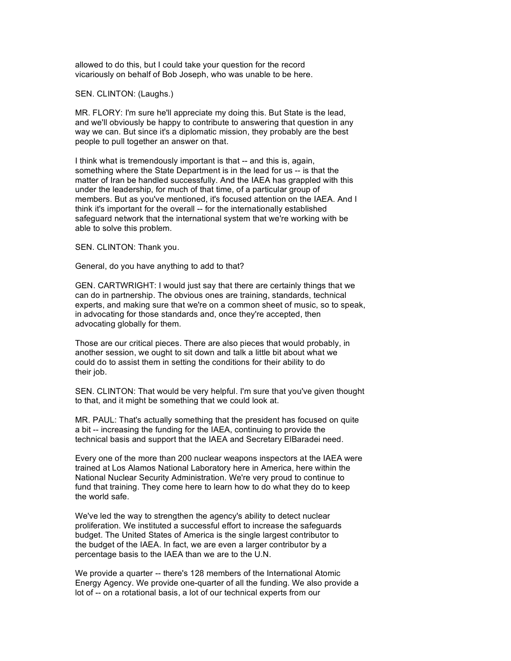allowed to do this, but I could take your question for the record vicariously on behalf of Bob Joseph, who was unable to be here.

## SEN. CLINTON: (Laughs.)

MR. FLORY: I'm sure he'll appreciate my doing this. But State is the lead, and we'll obviously be happy to contribute to answering that question in any way we can. But since it's a diplomatic mission, they probably are the best people to pull together an answer on that.

I think what is tremendously important is that -- and this is, again, something where the State Department is in the lead for us -- is that the matter of Iran be handled successfully. And the IAEA has grappled with this under the leadership, for much of that time, of a particular group of members. But as you've mentioned, it's focused attention on the IAEA. And I think it's important for the overall -- for the internationally established safeguard network that the international system that we're working with be able to solve this problem.

SEN. CLINTON: Thank you.

General, do you have anything to add to that?

GEN. CARTWRIGHT: I would just say that there are certainly things that we can do in partnership. The obvious ones are training, standards, technical experts, and making sure that we're on a common sheet of music, so to speak, in advocating for those standards and, once they're accepted, then advocating globally for them.

Those are our critical pieces. There are also pieces that would probably, in another session, we ought to sit down and talk a little bit about what we could do to assist them in setting the conditions for their ability to do their job.

SEN. CLINTON: That would be very helpful. I'm sure that you've given thought to that, and it might be something that we could look at.

MR. PAUL: That's actually something that the president has focused on quite a bit -- increasing the funding for the IAEA, continuing to provide the technical basis and support that the IAEA and Secretary ElBaradei need.

Every one of the more than 200 nuclear weapons inspectors at the IAEA were trained at Los Alamos National Laboratory here in America, here within the National Nuclear Security Administration. We're very proud to continue to fund that training. They come here to learn how to do what they do to keep the world safe.

We've led the way to strengthen the agency's ability to detect nuclear proliferation. We instituted a successful effort to increase the safeguards budget. The United States of America is the single largest contributor to the budget of the IAEA. In fact, we are even a larger contributor by a percentage basis to the IAEA than we are to the U.N.

We provide a quarter -- there's 128 members of the International Atomic Energy Agency. We provide one-quarter of all the funding. We also provide a lot of -- on a rotational basis, a lot of our technical experts from our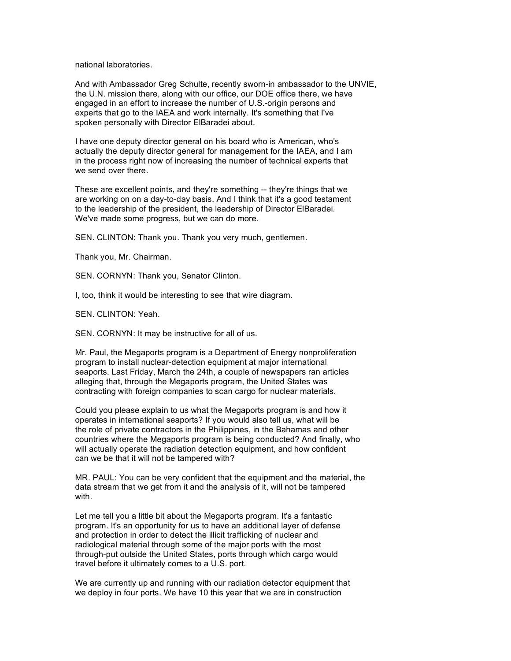national laboratories.

And with Ambassador Greg Schulte, recently sworn-in ambassador to the UNVIE, the U.N. mission there, along with our office, our DOE office there, we have engaged in an effort to increase the number of U.S.-origin persons and experts that go to the IAEA and work internally. It's something that I've spoken personally with Director ElBaradei about.

I have one deputy director general on his board who is American, who's actually the deputy director general for management for the IAEA, and I am in the process right now of increasing the number of technical experts that we send over there.

These are excellent points, and they're something -- they're things that we are working on on a day-to-day basis. And I think that it's a good testament to the leadership of the president, the leadership of Director ElBaradei. We've made some progress, but we can do more.

SEN. CLINTON: Thank you. Thank you very much, gentlemen.

Thank you, Mr. Chairman.

SEN. CORNYN: Thank you, Senator Clinton.

I, too, think it would be interesting to see that wire diagram.

SEN. CLINTON: Yeah.

SEN. CORNYN: It may be instructive for all of us.

Mr. Paul, the Megaports program is a Department of Energy nonproliferation program to install nuclear-detection equipment at major international seaports. Last Friday, March the 24th, a couple of newspapers ran articles alleging that, through the Megaports program, the United States was contracting with foreign companies to scan cargo for nuclear materials.

Could you please explain to us what the Megaports program is and how it operates in international seaports? If you would also tell us, what will be the role of private contractors in the Philippines, in the Bahamas and other countries where the Megaports program is being conducted? And finally, who will actually operate the radiation detection equipment, and how confident can we be that it will not be tampered with?

MR. PAUL: You can be very confident that the equipment and the material, the data stream that we get from it and the analysis of it, will not be tampered with.

Let me tell you a little bit about the Megaports program. It's a fantastic program. It's an opportunity for us to have an additional layer of defense and protection in order to detect the illicit trafficking of nuclear and radiological material through some of the major ports with the most through-put outside the United States, ports through which cargo would travel before it ultimately comes to a U.S. port.

We are currently up and running with our radiation detector equipment that we deploy in four ports. We have 10 this year that we are in construction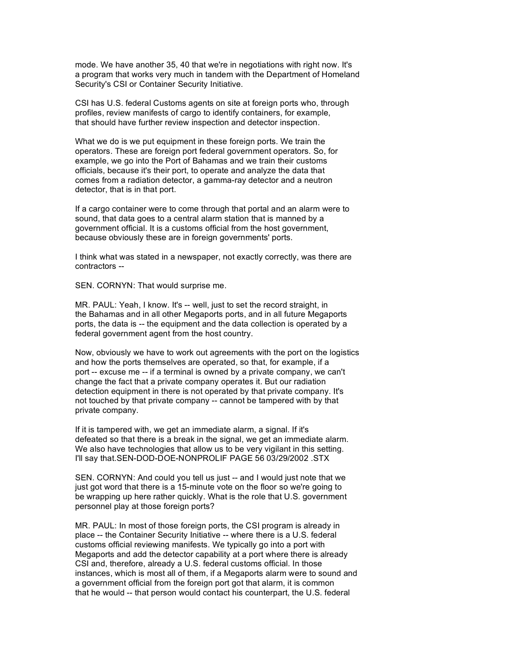mode. We have another 35, 40 that we're in negotiations with right now. It's a program that works very much in tandem with the Department of Homeland Security's CSI or Container Security Initiative.

CSI has U.S. federal Customs agents on site at foreign ports who, through profiles, review manifests of cargo to identify containers, for example, that should have further review inspection and detector inspection.

What we do is we put equipment in these foreign ports. We train the operators. These are foreign port federal government operators. So, for example, we go into the Port of Bahamas and we train their customs officials, because it's their port, to operate and analyze the data that comes from a radiation detector, a gamma-ray detector and a neutron detector, that is in that port.

If a cargo container were to come through that portal and an alarm were to sound, that data goes to a central alarm station that is manned by a government official. It is a customs official from the host government, because obviously these are in foreign governments' ports.

I think what was stated in a newspaper, not exactly correctly, was there are contractors --

SEN. CORNYN: That would surprise me.

MR. PAUL: Yeah, I know. It's -- well, just to set the record straight, in the Bahamas and in all other Megaports ports, and in all future Megaports ports, the data is -- the equipment and the data collection is operated by a federal government agent from the host country.

Now, obviously we have to work out agreements with the port on the logistics and how the ports themselves are operated, so that, for example, if a port -- excuse me -- if a terminal is owned by a private company, we can't change the fact that a private company operates it. But our radiation detection equipment in there is not operated by that private company. It's not touched by that private company -- cannot be tampered with by that private company.

If it is tampered with, we get an immediate alarm, a signal. If it's defeated so that there is a break in the signal, we get an immediate alarm. We also have technologies that allow us to be very vigilant in this setting. I'll say that.SEN-DOD-DOE-NONPROLIF PAGE 56 03/29/2002 .STX

SEN. CORNYN: And could you tell us just -- and I would just note that we just got word that there is a 15-minute vote on the floor so we're going to be wrapping up here rather quickly. What is the role that U.S. government personnel play at those foreign ports?

MR. PAUL: In most of those foreign ports, the CSI program is already in place -- the Container Security Initiative -- where there is a U.S. federal customs official reviewing manifests. We typically go into a port with Megaports and add the detector capability at a port where there is already CSI and, therefore, already a U.S. federal customs official. In those instances, which is most all of them, if a Megaports alarm were to sound and a government official from the foreign port got that alarm, it is common that he would -- that person would contact his counterpart, the U.S. federal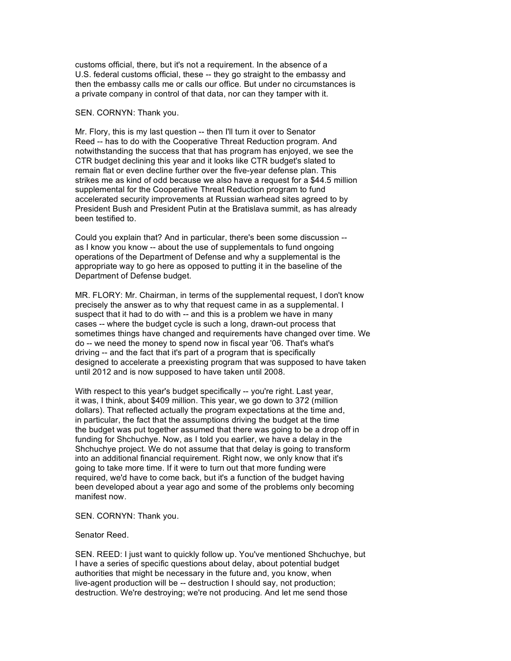customs official, there, but it's not a requirement. In the absence of a U.S. federal customs official, these -- they go straight to the embassy and then the embassy calls me or calls our office. But under no circumstances is a private company in control of that data, nor can they tamper with it.

# SEN. CORNYN: Thank you.

Mr. Flory, this is my last question -- then I'll turn it over to Senator Reed -- has to do with the Cooperative Threat Reduction program. And notwithstanding the success that that has program has enjoyed, we see the CTR budget declining this year and it looks like CTR budget's slated to remain flat or even decline further over the five-year defense plan. This strikes me as kind of odd because we also have a request for a \$44.5 million supplemental for the Cooperative Threat Reduction program to fund accelerated security improvements at Russian warhead sites agreed to by President Bush and President Putin at the Bratislava summit, as has already been testified to.

Could you explain that? And in particular, there's been some discussion - as I know you know -- about the use of supplementals to fund ongoing operations of the Department of Defense and why a supplemental is the appropriate way to go here as opposed to putting it in the baseline of the Department of Defense budget.

MR. FLORY: Mr. Chairman, in terms of the supplemental request, I don't know precisely the answer as to why that request came in as a supplemental. I suspect that it had to do with -- and this is a problem we have in many cases -- where the budget cycle is such a long, drawn-out process that sometimes things have changed and requirements have changed over time. We do -- we need the money to spend now in fiscal year '06. That's what's driving -- and the fact that it's part of a program that is specifically designed to accelerate a preexisting program that was supposed to have taken until 2012 and is now supposed to have taken until 2008.

With respect to this year's budget specifically -- you're right. Last year, it was, I think, about \$409 million. This year, we go down to 372 (million dollars). That reflected actually the program expectations at the time and, in particular, the fact that the assumptions driving the budget at the time the budget was put together assumed that there was going to be a drop off in funding for Shchuchye. Now, as I told you earlier, we have a delay in the Shchuchye project. We do not assume that that delay is going to transform into an additional financial requirement. Right now, we only know that it's going to take more time. If it were to turn out that more funding were required, we'd have to come back, but it's a function of the budget having been developed about a year ago and some of the problems only becoming manifest now.

# SEN. CORNYN: Thank you.

#### Senator Reed.

SEN. REED: I just want to quickly follow up. You've mentioned Shchuchye, but I have a series of specific questions about delay, about potential budget authorities that might be necessary in the future and, you know, when live-agent production will be -- destruction I should say, not production; destruction. We're destroying; we're not producing. And let me send those